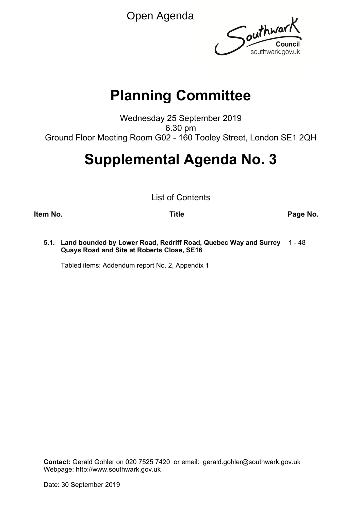Open Agenda



# **Planning Committee**

Wednesday 25 September 2019 6.30 pm Ground Floor Meeting Room G02 - 160 Tooley Street, London SE1 2QH

# **Supplemental Agenda No. 3**

List of Contents

**Item No. Title Page No.**

**5.1. Land bounded by Lower Road, Redriff Road, Quebec Way and Surrey** 1 - 48 **Quays Road and Site at Roberts Close, SE16**

Tabled items: Addendum report No. 2, Appendix 1

**Contact:** Gerald Gohler on 020 7525 7420 or email: gerald.gohler@southwark.gov.uk Webpage: http://www.southwark.gov.uk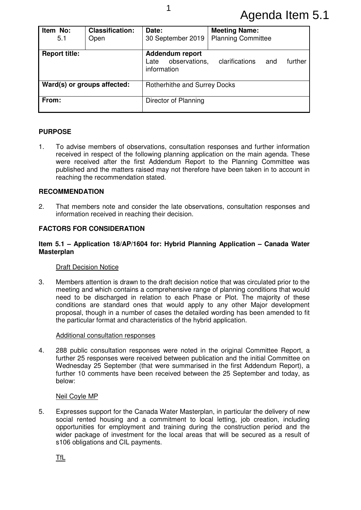## Agenda Item 5.1

| Item No:<br>5.1             | <b>Classification:</b><br>Open | Date:<br>30 September 2019                              | <b>Meeting Name:</b><br><b>Planning Committee</b> |         |
|-----------------------------|--------------------------------|---------------------------------------------------------|---------------------------------------------------|---------|
| <b>Report title:</b>        |                                | Addendum report<br>observations,<br>Late<br>information | clarifications<br>and                             | further |
| Ward(s) or groups affected: |                                | Rotherhithe and Surrey Docks                            |                                                   |         |
| From:                       |                                | Director of Planning                                    |                                                   |         |

## **PURPOSE**

1. To advise members of observations, consultation responses and further information received in respect of the following planning application on the main agenda. These were received after the first Addendum Report to the Planning Committee was published and the matters raised may not therefore have been taken in to account in reaching the recommendation stated.

## **RECOMMENDATION**

2. That members note and consider the late observations, consultation responses and information received in reaching their decision.

## **FACTORS FOR CONSIDERATION**

## **Item 5.1 – Application 18/AP/1604 for: Hybrid Planning Application – Canada Water Masterplan**

## Draft Decision Notice

3. Members attention is drawn to the draft decision notice that was circulated prior to the meeting and which contains a comprehensive range of planning conditions that would need to be discharged in relation to each Phase or Plot. The majority of these conditions are standard ones that would apply to any other Major development proposal, though in a number of cases the detailed wording has been amended to fit the particular format and characteristics of the hybrid application.

#### Additional consultation responses

4. 288 public consultation responses were noted in the original Committee Report, a further 25 responses were received between publication and the initial Committee on Wednesday 25 September (that were summarised in the first Addendum Report), a further 10 comments have been received between the 25 September and today, as below:

## Neil Coyle MP

5. Expresses support for the Canada Water Masterplan, in particular the delivery of new social rented housing and a commitment to local letting, job creation, including opportunities for employment and training during the construction period and the wider package of investment for the local areas that will be secured as a result of s106 obligations and CIL payments.

TfL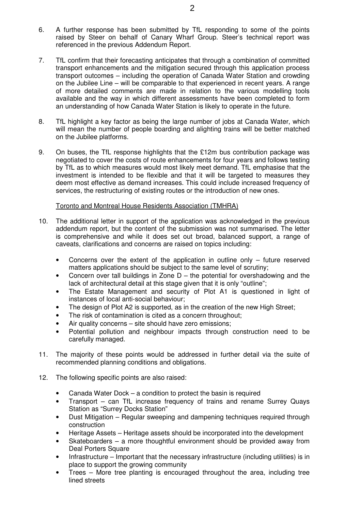- 6. A further response has been submitted by TfL responding to some of the points raised by Steer on behalf of Canary Wharf Group. Steer's technical report was referenced in the previous Addendum Report.
- 7. TfL confirm that their forecasting anticipates that through a combination of committed transport enhancements and the mitigation secured through this application process transport outcomes – including the operation of Canada Water Station and crowding on the Jubilee Line – will be comparable to that experienced in recent years. A range of more detailed comments are made in relation to the various modelling tools available and the way in which different assessments have been completed to form an understanding of how Canada Water Station is likely to operate in the future.
- 8. TfL highlight a key factor as being the large number of jobs at Canada Water, which will mean the number of people boarding and alighting trains will be better matched on the Jubilee platforms.
- 9. On buses, the TfL response highlights that the £12m bus contribution package was negotiated to cover the costs of route enhancements for four years and follows testing by TfL as to which measures would most likely meet demand. TfL emphasise that the investment is intended to be flexible and that it will be targeted to measures they deem most effective as demand increases. This could include increased frequency of services, the restructuring of existing routes or the introduction of new ones.

## Toronto and Montreal House Residents Association (TMHRA)

- 10. The additional letter in support of the application was acknowledged in the previous addendum report, but the content of the submission was not summarised. The letter is comprehensive and while it does set out broad, balanced support, a range of caveats, clarifications and concerns are raised on topics including:
	- Concerns over the extent of the application in outline only future reserved matters applications should be subject to the same level of scrutiny;
	- Concern over tall buildings in Zone  $D$  the potential for overshadowing and the lack of architectural detail at this stage given that it is only "outline";
	- The Estate Management and security of Plot A1 is questioned in light of instances of local anti-social behaviour;
	- The design of Plot A2 is supported, as in the creation of the new High Street;
	- The risk of contamination is cited as a concern throughout:
	- Air quality concerns site should have zero emissions:
	- Potential pollution and neighbour impacts through construction need to be carefully managed.
- 11. The majority of these points would be addressed in further detail via the suite of recommended planning conditions and obligations.
- 12. The following specific points are also raised:
	- Canada Water Dock a condition to protect the basin is required
	- Transport can TfL increase frequency of trains and rename Surrey Quays Station as "Surrey Docks Station"
	- Dust Mitigation Regular sweeping and dampening techniques required through construction
	- Heritage Assets Heritage assets should be incorporated into the development
	- Skateboarders a more thoughtful environment should be provided away from Deal Porters Square
	- Infrastructure Important that the necessary infrastructure (including utilities) is in place to support the growing community
	- Trees More tree planting is encouraged throughout the area, including tree lined streets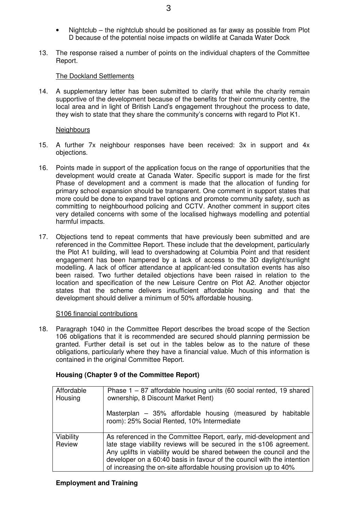- Nightclub the nightclub should be positioned as far away as possible from Plot D because of the potential noise impacts on wildlife at Canada Water Dock
- 13. The response raised a number of points on the individual chapters of the Committee Report.

## The Dockland Settlements

14. A supplementary letter has been submitted to clarify that while the charity remain supportive of the development because of the benefits for their community centre, the local area and in light of British Land's engagement throughout the process to date, they wish to state that they share the community's concerns with regard to Plot K1.

## **Neighbours**

- 15. A further 7x neighbour responses have been received: 3x in support and 4x objections.
- 16. Points made in support of the application focus on the range of opportunities that the development would create at Canada Water. Specific support is made for the first Phase of development and a comment is made that the allocation of funding for primary school expansion should be transparent. One comment in support states that more could be done to expand travel options and promote community safety, such as committing to neighbourhood policing and CCTV. Another comment in support cites very detailed concerns with some of the localised highways modelling and potential harmful impacts.
- 17. Objections tend to repeat comments that have previously been submitted and are referenced in the Committee Report. These include that the development, particularly the Plot A1 building, will lead to overshadowing at Columbia Point and that resident engagement has been hampered by a lack of access to the 3D daylight/sunlight modelling. A lack of officer attendance at applicant-led consultation events has also been raised. Two further detailed objections have been raised in relation to the location and specification of the new Leisure Centre on Plot A2. Another objector states that the scheme delivers insufficient affordable housing and that the development should deliver a minimum of 50% affordable housing.

## S106 financial contributions

18. Paragraph 1040 in the Committee Report describes the broad scope of the Section 106 obligations that it is recommended are secured should planning permission be granted. Further detail is set out in the tables below as to the nature of these obligations, particularly where they have a financial value. Much of this information is contained in the original Committee Report.

| Housing (Chapter 9 of the Committee Report) |
|---------------------------------------------|
|---------------------------------------------|

| Affordable<br>Housing | Phase $1 - 87$ affordable housing units (60 social rented, 19 shared<br>ownership, 8 Discount Market Rent)                                                                                                                                                                                                                                                     |  |
|-----------------------|----------------------------------------------------------------------------------------------------------------------------------------------------------------------------------------------------------------------------------------------------------------------------------------------------------------------------------------------------------------|--|
|                       | Masterplan $-$ 35% affordable housing (measured by habitable<br>room): 25% Social Rented, 10% Intermediate                                                                                                                                                                                                                                                     |  |
| Viability<br>Review   | As referenced in the Committee Report, early, mid-development and<br>late stage viability reviews will be secured in the s106 agreement.<br>Any uplifts in viability would be shared between the council and the<br>developer on a 60:40 basis in favour of the council with the intention<br>of increasing the on-site affordable housing provision up to 40% |  |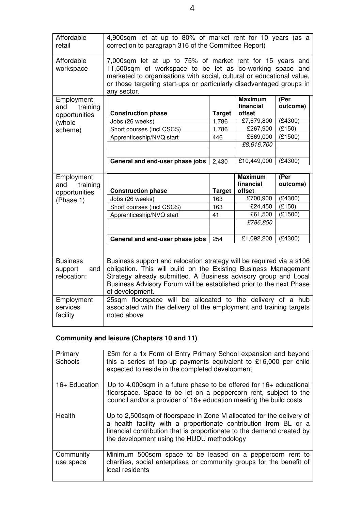| Affordable<br>retail                             | 4,900sqm let at up to 80% of market rent for 10 years (as a<br>correction to paragraph 316 of the Committee Report)                                                                                                                                                                                  |               |                                       |                   |
|--------------------------------------------------|------------------------------------------------------------------------------------------------------------------------------------------------------------------------------------------------------------------------------------------------------------------------------------------------------|---------------|---------------------------------------|-------------------|
| Affordable<br>workspace                          | 7,000sqm let at up to 75% of market rent for 15 years and<br>11,500sqm of workspace to be let as co-working space and<br>marketed to organisations with social, cultural or educational value,<br>or those targeting start-ups or particularly disadvantaged groups in<br>any sector.                |               |                                       |                   |
| Employment<br>training<br>and                    | <b>Construction phase</b>                                                                                                                                                                                                                                                                            | <b>Target</b> | <b>Maximum</b><br>financial<br>offset | (Per<br>outcome)  |
| opportunities                                    | Jobs (26 weeks)                                                                                                                                                                                                                                                                                      | 1,786         | £7,679,800                            | (E4300)           |
| (whole<br>scheme)                                | Short courses (incl CSCS)                                                                                                                                                                                                                                                                            | 1,786         | £267,900                              | (E150)            |
|                                                  | Apprenticeship/NVQ start                                                                                                                                                                                                                                                                             | 446           | £669,000                              | (E1500)           |
|                                                  |                                                                                                                                                                                                                                                                                                      |               | £8,616,700                            |                   |
|                                                  |                                                                                                                                                                                                                                                                                                      |               |                                       |                   |
|                                                  | General and end-user phase jobs                                                                                                                                                                                                                                                                      | 2,430         | £10,449,000                           | (E4300)           |
|                                                  |                                                                                                                                                                                                                                                                                                      |               |                                       |                   |
| Employment<br>training<br>and                    |                                                                                                                                                                                                                                                                                                      |               | <b>Maximum</b><br>financial           | (Per<br>outcome)  |
| opportunities                                    | <b>Construction phase</b>                                                                                                                                                                                                                                                                            | <b>Target</b> | offset                                |                   |
| (Phase 1)                                        | Jobs (26 weeks)                                                                                                                                                                                                                                                                                      | 163           | £700,900                              | (E4300)           |
|                                                  | Short courses (incl CSCS)                                                                                                                                                                                                                                                                            | 163           | £24,450<br>£61,500                    | (E150)<br>(E1500) |
|                                                  | Apprenticeship/NVQ start                                                                                                                                                                                                                                                                             | 41            | £786,850                              |                   |
|                                                  |                                                                                                                                                                                                                                                                                                      |               |                                       |                   |
|                                                  | General and end-user phase jobs                                                                                                                                                                                                                                                                      | 254           | £1,092,200                            | (E4300)           |
|                                                  |                                                                                                                                                                                                                                                                                                      |               |                                       |                   |
| <b>Business</b><br>support<br>and<br>relocation: | Business support and relocation strategy will be required via a s106<br>obligation. This will build on the Existing Business Management<br>Strategy already submitted. A Business advisory group and Local<br>Business Advisory Forum will be established prior to the next Phase<br>of development. |               |                                       |                   |
| Employment<br>services<br>facility               | 25sqm floorspace will be allocated to the delivery of a hub<br>associated with the delivery of the employment and training targets<br>noted above                                                                                                                                                    |               |                                       |                   |

## **Community and leisure (Chapters 10 and 11)**

| Primary<br>Schools     | £5m for a 1x Form of Entry Primary School expansion and beyond<br>this a series of top-up payments equivalent to £16,000 per child<br>expected to reside in the completed development                                                                            |
|------------------------|------------------------------------------------------------------------------------------------------------------------------------------------------------------------------------------------------------------------------------------------------------------|
| 16+ Education          | Up to 4,000sqm in a future phase to be offered for $16+$ educational<br>floorspace. Space to be let on a peppercorn rent, subject to the<br>council and/or a provider of 16+ education meeting the build costs                                                   |
| Health                 | Up to 2,500 sqm of floorspace in Zone M allocated for the delivery of<br>a health facility with a proportionate contribution from BL or a<br>financial contribution that is proportionate to the demand created by<br>the development using the HUDU methodology |
| Community<br>use space | Minimum 500sqm space to be leased on a peppercorn rent to<br>charities, social enterprises or community groups for the benefit of<br>local residents                                                                                                             |

4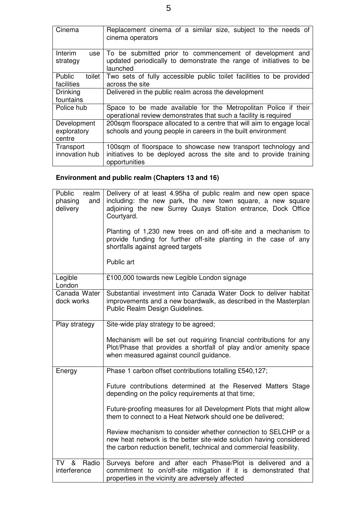| Cinema                               | Replacement cinema of a similar size, subject to the needs of<br>cinema operators                                                                    |
|--------------------------------------|------------------------------------------------------------------------------------------------------------------------------------------------------|
| Interim<br>use<br>strategy           | To be submitted prior to commencement of development and<br>updated periodically to demonstrate the range of initiatives to be<br>launched           |
| Public<br>toilet<br>facilities       | Two sets of fully accessible public toilet facilities to be provided<br>across the site                                                              |
| <b>Drinking</b><br>fountains         | Delivered in the public realm across the development                                                                                                 |
| Police hub                           | Space to be made available for the Metropolitan Police if their<br>operational review demonstrates that such a facility is required                  |
| Development<br>exploratory<br>centre | 200sqm floorspace allocated to a centre that will aim to engage local<br>schools and young people in careers in the built environment                |
| Transport<br>innovation hub          | 100sqm of floorspace to showcase new transport technology and<br>initiatives to be deployed across the site and to provide training<br>opportunities |

## **Environment and public realm (Chapters 13 and 16)**

| Public<br>realm<br>phasing<br>and<br>delivery | Delivery of at least 4.95ha of public realm and new open space<br>including: the new park, the new town square, a new square<br>adjoining the new Surrey Quays Station entrance, Dock Office<br>Courtyard.<br>Planting of 1,230 new trees on and off-site and a mechanism to<br>provide funding for further off-site planting in the case of any<br>shortfalls against agreed targets<br>Public art |  |
|-----------------------------------------------|-----------------------------------------------------------------------------------------------------------------------------------------------------------------------------------------------------------------------------------------------------------------------------------------------------------------------------------------------------------------------------------------------------|--|
| Legible<br>London                             | £100,000 towards new Legible London signage                                                                                                                                                                                                                                                                                                                                                         |  |
| Canada Water<br>dock works                    | Substantial investment into Canada Water Dock to deliver habitat<br>improvements and a new boardwalk, as described in the Masterplan<br>Public Realm Design Guidelines.                                                                                                                                                                                                                             |  |
| Play strategy                                 | Site-wide play strategy to be agreed;                                                                                                                                                                                                                                                                                                                                                               |  |
|                                               | Mechanism will be set out requiring financial contributions for any<br>Plot/Phase that provides a shortfall of play and/or amenity space<br>when measured against council guidance.                                                                                                                                                                                                                 |  |
| Energy                                        | Phase 1 carbon offset contributions totalling £540,127;                                                                                                                                                                                                                                                                                                                                             |  |
|                                               | Future contributions determined at the Reserved Matters Stage<br>depending on the policy requirements at that time;                                                                                                                                                                                                                                                                                 |  |
|                                               | Future-proofing measures for all Development Plots that might allow<br>them to connect to a Heat Network should one be delivered;                                                                                                                                                                                                                                                                   |  |
|                                               | Review mechanism to consider whether connection to SELCHP or a<br>new heat network is the better site-wide solution having considered<br>the carbon reduction benefit, technical and commercial feasibility.                                                                                                                                                                                        |  |
| <b>TV</b><br>&<br>Radio<br>interference       | Surveys before and after each Phase/Plot is delivered and a<br>commitment to on/off-site mitigation if it is demonstrated that<br>properties in the vicinity are adversely affected                                                                                                                                                                                                                 |  |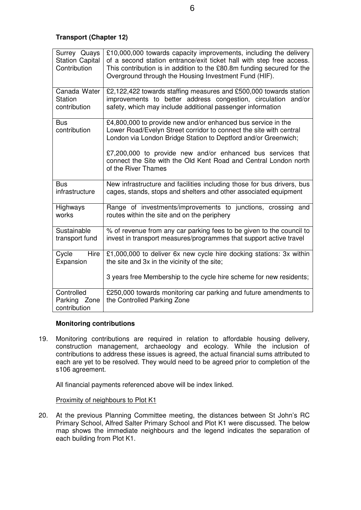**Transport (Chapter 12)** 

| Surrey Quays<br><b>Station Capital</b><br>Contribution | £10,000,000 towards capacity improvements, including the delivery<br>of a second station entrance/exit ticket hall with step free access.<br>This contribution is in addition to the £80.8m funding secured for the<br>Overground through the Housing Investment Fund (HIF).                                                                                   |
|--------------------------------------------------------|----------------------------------------------------------------------------------------------------------------------------------------------------------------------------------------------------------------------------------------------------------------------------------------------------------------------------------------------------------------|
| Canada Water<br><b>Station</b><br>contribution         | £2,122,422 towards staffing measures and £500,000 towards station<br>improvements to better address congestion, circulation and/or<br>safety, which may include additional passenger information                                                                                                                                                               |
| <b>Bus</b><br>contribution                             | £4,800,000 to provide new and/or enhanced bus service in the<br>Lower Road/Evelyn Street corridor to connect the site with central<br>London via London Bridge Station to Deptford and/or Greenwich;<br>£7,200,000 to provide new and/or enhanced bus services that<br>connect the Site with the Old Kent Road and Central London north<br>of the River Thames |
| <b>Bus</b><br>infrastructure                           | New infrastructure and facilities including those for bus drivers, bus<br>cages, stands, stops and shelters and other associated equipment                                                                                                                                                                                                                     |
| Highways<br>works                                      | Range of investments/improvements to junctions, crossing<br>and<br>routes within the site and on the periphery                                                                                                                                                                                                                                                 |
| Sustainable<br>transport fund                          | % of revenue from any car parking fees to be given to the council to<br>invest in transport measures/programmes that support active travel                                                                                                                                                                                                                     |
| Hire<br>Cycle<br>Expansion                             | £1,000,000 to deliver 6x new cycle hire docking stations: 3x within<br>the site and 3x in the vicinity of the site;                                                                                                                                                                                                                                            |
|                                                        | 3 years free Membership to the cycle hire scheme for new residents;                                                                                                                                                                                                                                                                                            |
| Controlled<br>Parking Zone<br>contribution             | £250,000 towards monitoring car parking and future amendments to<br>the Controlled Parking Zone                                                                                                                                                                                                                                                                |

## **Monitoring contributions**

19. Monitoring contributions are required in relation to affordable housing delivery, construction management, archaeology and ecology. While the inclusion of contributions to address these issues is agreed, the actual financial sums attributed to each are yet to be resolved. They would need to be agreed prior to completion of the s106 agreement.

All financial payments referenced above will be index linked.

Proximity of neighbours to Plot K1

20. At the previous Planning Committee meeting, the distances between St John's RC Primary School, Alfred Salter Primary School and Plot K1 were discussed. The below map shows the immediate neighbours and the legend indicates the separation of each building from Plot K1.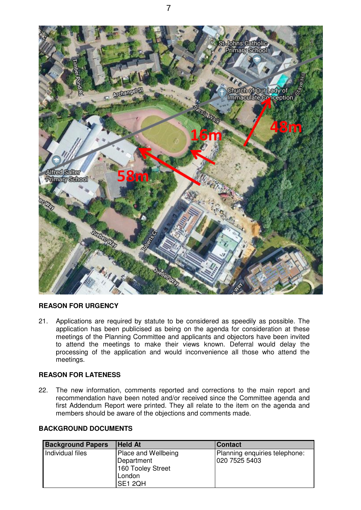

## **REASON FOR URGENCY**

21. Applications are required by statute to be considered as speedily as possible. The application has been publicised as being on the agenda for consideration at these meetings of the Planning Committee and applicants and objectors have been invited to attend the meetings to make their views known. Deferral would delay the processing of the application and would inconvenience all those who attend the meetings.

## **REASON FOR LATENESS**

22. The new information, comments reported and corrections to the main report and recommendation have been noted and/or received since the Committee agenda and first Addendum Report were printed. They all relate to the item on the agenda and members should be aware of the objections and comments made.

## **BACKGROUND DOCUMENTS**

| <b>Background Papers</b> | <b>Held At</b>      | <b>Contact</b>                |
|--------------------------|---------------------|-------------------------------|
| Individual files         | Place and Wellbeing | Planning enquiries telephone: |
|                          | Department          | 020 7525 5403                 |
|                          | 160 Tooley Street   |                               |
|                          | London              |                               |
|                          | SE1 2QH             |                               |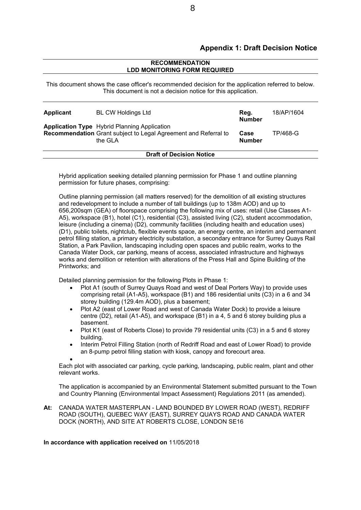## **Appendix 1: Draft Decision Notice**

#### **RECOMMENDATION LDD MONITORING FORM REQUIRED**

This document shows the case officer's recommended decision for the application referred to below. This document is not a decision notice for this application.

| Applicant                       | <b>BL CW Holdings Ltd</b><br><b>Application Type</b> Hybrid Planning Application<br>Recommendation Grant subject to Legal Agreement and Referral to<br>the GLA |  | 18/AP/1604 |
|---------------------------------|----------------------------------------------------------------------------------------------------------------------------------------------------------------|--|------------|
|                                 |                                                                                                                                                                |  | TP/468-G   |
| <b>Draft of Decision Notice</b> |                                                                                                                                                                |  |            |

Hybrid application seeking detailed planning permission for Phase 1 and outline planning permission for future phases, comprising:

Outline planning permission (all matters reserved) for the demolition of all existing structures and redevelopment to include a number of tall buildings (up to 138m AOD) and up to 656,200sqm (GEA) of floorspace comprising the following mix of uses: retail (Use Classes A1- A5), workspace (B1), hotel (C1), residential (C3), assisted living (C2), student accommodation, leisure (including a cinema) (D2), community facilities (including health and education uses) (D1), public toilets, nightclub, flexible events space, an energy centre, an interim and permanent petrol filling station, a primary electricity substation, a secondary entrance for Surrey Quays Rail Station, a Park Pavilion, landscaping including open spaces and public realm, works to the Canada Water Dock, car parking, means of access, associated infrastructure and highways works and demolition or retention with alterations of the Press Hall and Spine Building of the Printworks; and

Detailed planning permission for the following Plots in Phase 1:

- Plot A1 (south of Surrey Quays Road and west of Deal Porters Way) to provide uses comprising retail (A1-A5), workspace (B1) and 186 residential units (C3) in a 6 and 34 storey building (129.4m AOD), plus a basement;
- Plot A2 (east of Lower Road and west of Canada Water Dock) to provide a leisure centre (D2), retail (A1-A5), and workspace (B1) in a 4, 5 and 6 storey building plus a basement.
- Plot K1 (east of Roberts Close) to provide 79 residential units (C3) in a 5 and 6 storey building.
- Interim Petrol Filling Station (north of Redriff Road and east of Lower Road) to provide an 8-pump petrol filling station with kiosk, canopy and forecourt area.

 $\bullet$ 

Each plot with associated car parking, cycle parking, landscaping, public realm, plant and other relevant works.

The application is accompanied by an Environmental Statement submitted pursuant to the Town and Country Planning (Environmental Impact Assessment) Regulations 2011 (as amended).

**At:** CANADA WATER MASTERPLAN - LAND BOUNDED BY LOWER ROAD (WEST), REDRIFF ROAD (SOUTH), QUEBEC WAY (EAST), SURREY QUAYS ROAD AND CANADA WATER DOCK (NORTH), AND SITE AT ROBERTS CLOSE, LONDON SE16

#### **In accordance with application received on** 11/05/2018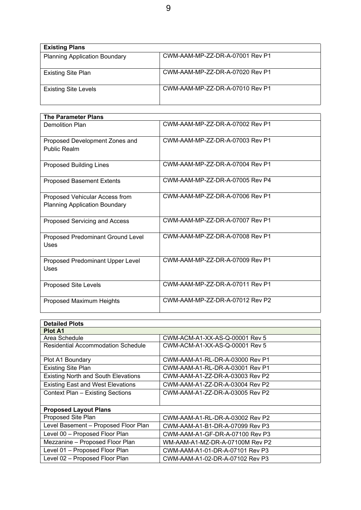| <b>Existing Plans</b>                |                                 |
|--------------------------------------|---------------------------------|
| <b>Planning Application Boundary</b> | CWM-AAM-MP-ZZ-DR-A-07001 Rev P1 |
| <b>Existing Site Plan</b>            | CWM-AAM-MP-ZZ-DR-A-07020 Rev P1 |
| <b>Existing Site Levels</b>          | CWM-AAM-MP-ZZ-DR-A-07010 Rev P1 |

| <b>The Parameter Plans</b>                                             |                                 |  |  |
|------------------------------------------------------------------------|---------------------------------|--|--|
| Demolition Plan                                                        | CWM-AAM-MP-ZZ-DR-A-07002 Rev P1 |  |  |
| Proposed Development Zones and<br>Public Realm                         | CWM-AAM-MP-ZZ-DR-A-07003 Rev P1 |  |  |
| <b>Proposed Building Lines</b>                                         | CWM-AAM-MP-ZZ-DR-A-07004 Rev P1 |  |  |
| <b>Proposed Basement Extents</b>                                       | CWM-AAM-MP-ZZ-DR-A-07005 Rev P4 |  |  |
| Proposed Vehicular Access from<br><b>Planning Application Boundary</b> | CWM-AAM-MP-ZZ-DR-A-07006 Rev P1 |  |  |
| Proposed Servicing and Access                                          | CWM-AAM-MP-ZZ-DR-A-07007 Rev P1 |  |  |
| Proposed Predominant Ground Level<br><b>Uses</b>                       | CWM-AAM-MP-ZZ-DR-A-07008 Rev P1 |  |  |
| Proposed Predominant Upper Level<br><b>Uses</b>                        | CWM-AAM-MP-ZZ-DR-A-07009 Rev P1 |  |  |
| <b>Proposed Site Levels</b>                                            | CWM-AAM-MP-ZZ-DR-A-07011 Rev P1 |  |  |
| Proposed Maximum Heights                                               | CWM-AAM-MP-ZZ-DR-A-07012 Rev P2 |  |  |

| <b>Detailed Plots</b>                      |                                 |
|--------------------------------------------|---------------------------------|
| <b>Plot A1</b>                             |                                 |
| Area Schedule                              | CWM-ACM-A1-XX-AS-Q-00001 Rev 5  |
| Residential Accommodation Schedule         | CWM-ACM-A1-XX-AS-Q-00001 Rev 5  |
|                                            |                                 |
| Plot A1 Boundary                           | CWM-AAM-A1-RL-DR-A-03000 Rev P1 |
| <b>Existing Site Plan</b>                  | CWM-AAM-A1-RL-DR-A-03001 Rev P1 |
| <b>Existing North and South Elevations</b> | CWM-AAM-A1-ZZ-DR-A-03003 Rev P2 |
| <b>Existing East and West Elevations</b>   | CWM-AAM-A1-ZZ-DR-A-03004 Rev P2 |
| Context Plan - Existing Sections           | CWM-AAM-A1-ZZ-DR-A-03005 Rev P2 |
|                                            |                                 |
| <b>Proposed Layout Plans</b>               |                                 |
| Proposed Site Plan                         | CWM-AAM-A1-RL-DR-A-03002 Rev P2 |
| Level Basement - Proposed Floor Plan       | CWM-AAM-A1-B1-DR-A-07099 Rev P3 |
| Level 00 - Proposed Floor Plan             | CWM-AAM-A1-GF-DR-A-07100 Rev P3 |
| Mezzanine - Proposed Floor Plan            | WM-AAM-A1-MZ-DR-A-07100M Rev P2 |
| Level 01 - Proposed Floor Plan             | CWM-AAM-A1-01-DR-A-07101 Rev P3 |
| Level 02 - Proposed Floor Plan             | CWM-AAM-A1-02-DR-A-07102 Rev P3 |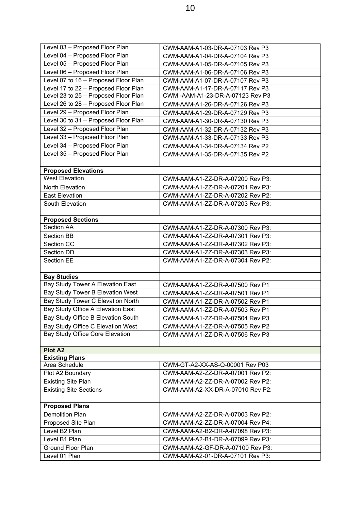| Level 03 - Proposed Floor Plan       | CWM-AAM-A1-03-DR-A-07103 Rev P3   |
|--------------------------------------|-----------------------------------|
| Level 04 - Proposed Floor Plan       | CWM-AAM-A1-04-DR-A-07104 Rev P3   |
| Level 05 - Proposed Floor Plan       | CWM-AAM-A1-05-DR-A-07105 Rev P3   |
| Level 06 - Proposed Floor Plan       | CWM-AAM-A1-06-DR-A-07106 Rev P3   |
| Level 07 to 16 - Proposed Floor Plan | CWM-AAM-A1-07-DR-A-07107 Rev P3   |
| Level 17 to 22 - Proposed Floor Plan | CWM-AAM-A1-17-DR-A-07117 Rev P3   |
| Level 23 to 25 - Proposed Floor Plan | CWM - AAM-A1-23-DR-A-07123 Rev P3 |
| Level 26 to 28 - Proposed Floor Plan | CWM-AAM-A1-26-DR-A-07126 Rev P3   |
| Level 29 - Proposed Floor Plan       | CWM-AAM-A1-29-DR-A-07129 Rev P3   |
| Level 30 to 31 - Proposed Floor Plan | CWM-AAM-A1-30-DR-A-07130 Rev P3   |
| Level 32 - Proposed Floor Plan       | CWM-AAM-A1-32-DR-A-07132 Rev P3   |
| Level 33 - Proposed Floor Plan       | CWM-AAM-A1-33-DR-A-07133 Rev P3   |
| Level 34 - Proposed Floor Plan       | CWM-AAM-A1-34-DR-A-07134 Rev P2   |
| Level 35 - Proposed Floor Plan       | CWM-AAM-A1-35-DR-A-07135 Rev P2   |
| <b>Proposed Elevations</b>           |                                   |
| <b>West Elevation</b>                | CWM-AAM-A1-ZZ-DR-A-07200 Rev P3:  |
| North Elevation                      | CWM-AAM-A1-ZZ-DR-A-07201 Rev P3:  |
| <b>East Elevation</b>                | CWM-AAM-A1-ZZ-DR-A-07202 Rev P2:  |
| South Elevation                      | CWM-AAM-A1-ZZ-DR-A-07203 Rev P3:  |
|                                      |                                   |
| <b>Proposed Sections</b>             |                                   |
| Section AA                           | CWM-AAM-A1-ZZ-DR-A-07300 Rev P3:  |
| <b>Section BB</b>                    | CWM-AAM-A1-ZZ-DR-A-07301 Rev P3:  |
| Section CC                           | CWM-AAM-A1-ZZ-DR-A-07302 Rev P3:  |
| Section DD                           | CWM-AAM-A1-ZZ-DR-A-07303 Rev P3:  |
| Section EE                           | CWM-AAM-A1-ZZ-DR-A-07304 Rev P2:  |
|                                      |                                   |
| <b>Bay Studies</b>                   |                                   |
| Bay Study Tower A Elevation East     | CWM-AAM-A1-ZZ-DR-A-07500 Rev P1   |
| Bay Study Tower B Elevation West     | CWM-AAM-A1-ZZ-DR-A-07501 Rev P1   |
| Bay Study Tower C Elevation North    | CWM-AAM-A1-ZZ-DR-A-07502 Rev P1   |
| Bay Study Office A Elevation East    | CWM-AAM-A1-ZZ-DR-A-07503 Rev P1   |
| Bay Study Office B Elevation South   | CWM-AAM-A1-ZZ-DR-A-07504 Rev P3   |
| Bay Study Office C Elevation West    | CWM-AAM-A1-ZZ-DR-A-07505 Rev P2   |
| Bay Study Office Core Elevation      | CWM-AAM-A1-ZZ-DR-A-07506 Rev P3   |
|                                      |                                   |
| <b>Plot A2</b>                       |                                   |
| <b>Existing Plans</b>                |                                   |
| Area Schedule                        | CWM-GT-A2-XX-AS-Q-00001 Rev P03   |
| Plot A2 Boundary                     | CWM-AAM-A2-ZZ-DR-A-07001 Rev P2:  |
| <b>Existing Site Plan</b>            | CWM-AAM-A2-ZZ-DR-A-07002 Rev P2:  |
| <b>Existing Site Sections</b>        | CWM-AAM-A2-XX-DR-A-07010 Rev P2:  |
|                                      |                                   |
| <b>Proposed Plans</b>                |                                   |
| <b>Demolition Plan</b>               | CWM-AAM-A2-ZZ-DR-A-07003 Rev P2:  |
| Proposed Site Plan                   | CWM-AAM-A2-ZZ-DR-A-07004 Rev P4:  |
| Level B2 Plan                        | CWM-AAM-A2-B2-DR-A-07098 Rev P3:  |
| Level B1 Plan                        | CWM-AAM-A2-B1-DR-A-07099 Rev P3:  |
| Ground Floor Plan                    | CWM-AAM-A2-GF-DR-A-07100 Rev P3:  |
| Level 01 Plan                        | CWM-AAM-A2-01-DR-A-07101 Rev P3:  |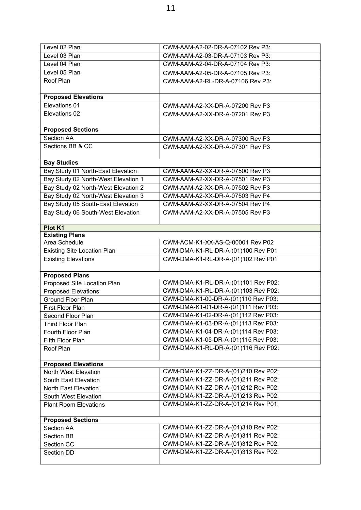| Level 02 Plan                                        | CWM-AAM-A2-02-DR-A-07102 Rev P3:    |
|------------------------------------------------------|-------------------------------------|
| Level 03 Plan                                        | CWM-AAM-A2-03-DR-A-07103 Rev P3:    |
| Level 04 Plan                                        | CWM-AAM-A2-04-DR-A-07104 Rev P3:    |
| Level 05 Plan                                        | CWM-AAM-A2-05-DR-A-07105 Rev P3:    |
| Roof Plan                                            | CWM-AAM-A2-RL-DR-A-07106 Rev P3:    |
| <b>Proposed Elevations</b>                           |                                     |
| Elevations 01                                        | CWM-AAM-A2-XX-DR-A-07200 Rev P3     |
| Elevations 02                                        | CWM-AAM-A2-XX-DR-A-07201 Rev P3     |
|                                                      |                                     |
| <b>Proposed Sections</b>                             |                                     |
| Section AA                                           | CWM-AAM-A2-XX-DR-A-07300 Rev P3     |
| Sections BB & CC                                     | CWM-AAM-A2-XX-DR-A-07301 Rev P3     |
|                                                      |                                     |
| <b>Bay Studies</b>                                   |                                     |
| Bay Study 01 North-East Elevation                    | CWM-AAM-A2-XX-DR-A-07500 Rev P3     |
| Bay Study 02 North-West Elevation 1                  | CWM-AAM-A2-XX-DR-A-07501 Rev P3     |
| Bay Study 02 North-West Elevation 2                  | CWM-AAM-A2-XX-DR-A-07502 Rev P3     |
| Bay Study 02 North-West Elevation 3                  | CWM-AAM-A2-XX-DR-A-07503 Rev P4     |
| Bay Study 05 South-East Elevation                    | CWM-AAM-A2-XX-DR-A-07504 Rev P4     |
| Bay Study 06 South-West Elevation                    | CWM-AAM-A2-XX-DR-A-07505 Rev P3     |
|                                                      |                                     |
| Plot K1                                              |                                     |
| <b>Existing Plans</b>                                |                                     |
| Area Schedule                                        | CWM-ACM-K1-XX-AS-Q-00001 Rev P02    |
| <b>Existing Site Location Plan</b>                   | CWM-DMA-K1-RL-DR-A-(01)100 Rev P01  |
| <b>Existing Elevations</b>                           | CWM-DMA-K1-RL-DR-A-(01)102 Rev P01  |
|                                                      |                                     |
| <b>Proposed Plans</b><br>Proposed Site Location Plan | CWM-DMA-K1-RL-DR-A-(01)101 Rev P02: |
| <b>Proposed Elevations</b>                           | CWM-DMA-K1-RL-DR-A-(01)103 Rev P02: |
| Ground Floor Plan                                    | CWM-DMA-K1-00-DR-A-(01)110 Rev P03: |
| First Floor Plan                                     | CWM-DMA-K1-01-DR-A-(01)111 Rev P03: |
| Second Floor Plan                                    | CWM-DMA-K1-02-DR-A-(01)112 Rev P03: |
| Third Floor Plan                                     | CWM-DMA-K1-03-DR-A-(01)113 Rev P03: |
| Fourth Floor Plan                                    | CWM-DMA-K1-04-DR-A-(01)114 Rev P03: |
| Fifth Floor Plan                                     | CWM-DMA-K1-05-DR-A-(01)115 Rev P03: |
| Roof Plan                                            | CWM-DMA-K1-RL-DR-A-(01)116 Rev P02: |
|                                                      |                                     |
| <b>Proposed Elevations</b>                           |                                     |
| North West Elevation                                 | CWM-DMA-K1-ZZ-DR-A-(01)210 Rev P02: |
| South East Elevation                                 | CWM-DMA-K1-ZZ-DR-A-(01)211 Rev P02: |
| North East Elevation                                 | CWM-DMA-K1-ZZ-DR-A-(01)212 Rev P02: |
| South West Elevation                                 | CWM-DMA-K1-ZZ-DR-A-(01)213 Rev P02: |
| <b>Plant Room Elevations</b>                         | CWM-DMA-K1-ZZ-DR-A-(01)214 Rev P01: |
|                                                      |                                     |
| <b>Proposed Sections</b>                             |                                     |
| Section AA                                           | CWM-DMA-K1-ZZ-DR-A-(01)310 Rev P02: |
| Section BB                                           | CWM-DMA-K1-ZZ-DR-A-(01)311 Rev P02: |
| Section CC                                           | CWM-DMA-K1-ZZ-DR-A-(01)312 Rev P02: |
| Section DD                                           | CWM-DMA-K1-ZZ-DR-A-(01)313 Rev P02: |
|                                                      |                                     |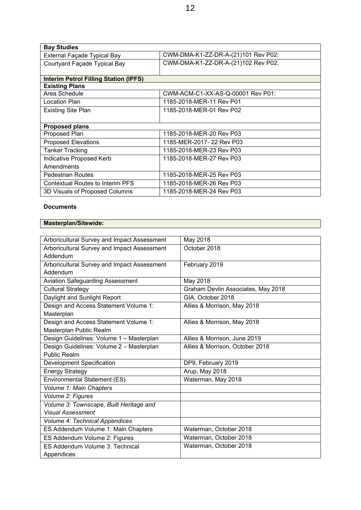| <b>Bay Studies</b>                           |                                     |
|----------------------------------------------|-------------------------------------|
| External Façade Typical Bay                  | CWM-DMA-K1-ZZ-DR-A-(21)101 Rev P02: |
| Courtyard Façade Typical Bay                 | CWM-DMA-K1-ZZ-DR-A-(21)102 Rev P02: |
|                                              |                                     |
| <b>Interim Petrol Filling Station (IPFS)</b> |                                     |
| <b>Existing Plans</b>                        |                                     |
| Area Schedule                                | CWM-ACM-C1-XX-AS-Q-00001 Rev P01:   |
| Location Plan                                | 1185-2018-MER-11 Rev P01            |
| <b>Existing Site Plan</b>                    | 1185-2018-MER-01 Rev P02            |
|                                              |                                     |
| <b>Proposed plans</b>                        |                                     |
| Proposed Plan                                | 1185-2018-MER-20 Rev P03            |
| Proposed Elevations                          | 1185-MER-2017-22 Rev P03            |
| <b>Tanker Tracking</b>                       | 1185-2018-MER-23 Rev P03            |
| Indicative Proposed Kerb                     | 1185-2018-MER-27 Rev P03            |
| Amendments                                   |                                     |
| Pedestrian Routes                            | 1185-2018-MER-25 Rev P03            |
| <b>Contextual Routes to Interim PFS</b>      | 1185-2018-MER-26 Rev P03            |
| 3D Visuals of Proposed Columns               | 1185-2018-MER-24 Rev P03            |

## **Documents**

## **Masterplan/Sitewide:**

| Arboricultural Survey and Impact Assessment | May 2018                           |
|---------------------------------------------|------------------------------------|
| Arboricultural Survey and Impact Assessment | October 2018                       |
| Addendum                                    |                                    |
| Arboricultural Survey and Impact Assessment | February 2019                      |
| Addendum                                    |                                    |
| <b>Aviation Safeguarding Assessment</b>     | May 2018                           |
| <b>Cultural Strategy</b>                    | Graham Devlin Associates, May 2018 |
| Daylight and Sunlight Report                | GIA, October 2018                  |
| Design and Access Statement Volume 1:       | Allies & Morrison, May 2018        |
| Masterplan                                  |                                    |
| Design and Access Statement Volume 1:       | Allies & Morrison, May 2018        |
| Masterplan Public Realm                     |                                    |
| Design Guidelines: Volume 1 - Masterplan    | Allies & Morrison, June 2019       |
| Design Guidelines: Volume 2 - Masterplan    | Allies & Morrison, October 2018    |
| <b>Public Realm</b>                         |                                    |
| Development Specification                   | DP9, February 2019                 |
| <b>Energy Strategy</b>                      | Arup, May 2018                     |
| Environmental Statement (ES)                | Waterman, May 2018                 |
| Volume 1: Main Chapters                     |                                    |
| Volume 2: Figures                           |                                    |
| Volume 3: Townscape, Built Heritage and     |                                    |
| <b>Visual Assessment</b>                    |                                    |
| Volume 4: Technical Appendices              |                                    |
| ES Addendum Volume 1: Main Chapters         | Waterman, October 2018             |
| ES Addendum Volume 2: Figures               | Waterman, October 2018             |
| ES Addendum Volume 3: Technical             | Waterman, October 2018             |
| Appendices                                  |                                    |
|                                             |                                    |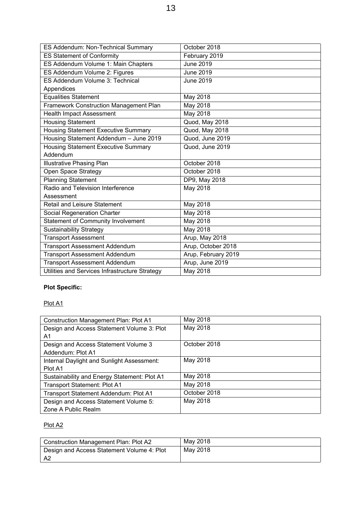| ES Addendum: Non-Technical Summary             | October 2018        |
|------------------------------------------------|---------------------|
| <b>ES Statement of Conformity</b>              | February 2019       |
| ES Addendum Volume 1: Main Chapters            | June 2019           |
| ES Addendum Volume 2: Figures                  | <b>June 2019</b>    |
| ES Addendum Volume 3: Technical                | <b>June 2019</b>    |
| Appendices                                     |                     |
| <b>Equalities Statement</b>                    | May 2018            |
| Framework Construction Management Plan         | May 2018            |
| <b>Health Impact Assessment</b>                | May 2018            |
| <b>Housing Statement</b>                       | Quod, May 2018      |
| Housing Statement Executive Summary            | Quod, May 2018      |
| Housing Statement Addendum - June 2019         | Quod, June 2019     |
| <b>Housing Statement Executive Summary</b>     | Quod, June 2019     |
| Addendum                                       |                     |
| <b>Illustrative Phasing Plan</b>               | October 2018        |
| Open Space Strategy                            | October 2018        |
| <b>Planning Statement</b>                      | DP9, May 2018       |
| Radio and Television Interference              | May 2018            |
| Assessment                                     |                     |
| <b>Retail and Leisure Statement</b>            | May 2018            |
| Social Regeneration Charter                    | May 2018            |
| <b>Statement of Community Involvement</b>      | May 2018            |
| <b>Sustainability Strategy</b>                 | May 2018            |
| <b>Transport Assessment</b>                    | Arup, May 2018      |
| <b>Transport Assessment Addendum</b>           | Arup, October 2018  |
| <b>Transport Assessment Addendum</b>           | Arup, February 2019 |
| <b>Transport Assessment Addendum</b>           | Arup, June 2019     |
| Utilities and Services Infrastructure Strategy | May 2018            |

## **Plot Specific:**

## Plot A1

| <b>Construction Management Plan: Plot A1</b> | May 2018     |
|----------------------------------------------|--------------|
| Design and Access Statement Volume 3: Plot   | May 2018     |
| A1                                           |              |
| Design and Access Statement Volume 3         | October 2018 |
| Addendum: Plot A1                            |              |
| Internal Daylight and Sunlight Assessment:   | May 2018     |
| Plot A1                                      |              |
| Sustainability and Energy Statement: Plot A1 | May 2018     |
| Transport Statement: Plot A1                 | May 2018     |
| Transport Statement Addendum: Plot A1        | October 2018 |
| Design and Access Statement Volume 5:        | May 2018     |
| Zone A Public Realm                          |              |

## Plot A2

| Construction Management Plan: Plot A2      | May 2018 |
|--------------------------------------------|----------|
| Design and Access Statement Volume 4: Plot | Mav 2018 |
| - A2                                       |          |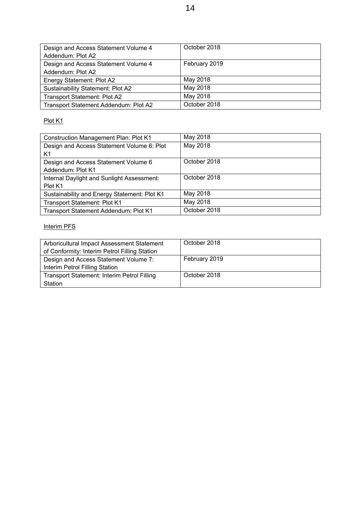| Design and Access Statement Volume 4  | October 2018  |
|---------------------------------------|---------------|
| Addendum: Plot A2                     |               |
| Design and Access Statement Volume 4  | February 2019 |
| Addendum: Plot A2                     |               |
| Energy Statement: Plot A2             | May 2018      |
| Sustainability Statement: Plot A2     | May 2018      |
| <b>Transport Statement: Plot A2</b>   | May 2018      |
| Transport Statement Addendum: Plot A2 | October 2018  |

## Plot K1

| <b>Construction Management Plan: Plot K1</b> | May 2018     |
|----------------------------------------------|--------------|
| Design and Access Statement Volume 6: Plot   | May 2018     |
| K1                                           |              |
| Design and Access Statement Volume 6         | October 2018 |
| Addendum: Plot K1                            |              |
| Internal Daylight and Sunlight Assessment:   | October 2018 |
| Plot K1                                      |              |
| Sustainability and Energy Statement: Plot K1 | May 2018     |
| <b>Transport Statement: Plot K1</b>          | May 2018     |
| Transport Statement Addendum: Plot K1        | October 2018 |

## Interim PFS

| Arboricultural Impact Assessment Statement    | October 2018  |
|-----------------------------------------------|---------------|
| of Conformity: Interim Petrol Filling Station |               |
| Design and Access Statement Volume 7:         | February 2019 |
| Interim Petrol Filling Station                |               |
| Transport Statement: Interim Petrol Filling   | October 2018  |
| Station                                       |               |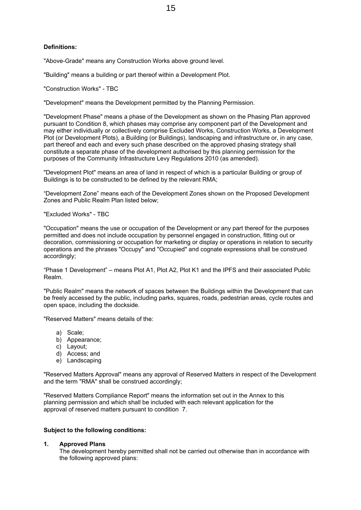#### **Definitions:**

"Above-Grade" means any Construction Works above ground level.

"Building" means a building or part thereof within a Development Plot.

"Construction Works" - TBC

"Development" means the Development permitted by the Planning Permission.

"Development Phase" means a phase of the Development as shown on the Phasing Plan approved pursuant to Condition 8, which phases may comprise any component part of the Development and may either individually or collectively comprise Excluded Works, Construction Works, a Development Plot (or Development Plots), a Building (or Buildings), landscaping and infrastructure or, in any case, part thereof and each and every such phase described on the approved phasing strategy shall constitute a separate phase of the development authorised by this planning permission for the purposes of the Community Infrastructure Levy Regulations 2010 (as amended).

"Development Plot" means an area of land in respect of which is a particular Building or group of Buildings is to be constructed to be defined by the relevant RMA;

"Development Zone" means each of the Development Zones shown on the Proposed Development Zones and Public Realm Plan listed below;

"Excluded Works" - TBC

"Occupation" means the use or occupation of the Development or any part thereof for the purposes permitted and does not include occupation by personnel engaged in construction, fitting out or decoration, commissioning or occupation for marketing or display or operations in relation to security operations and the phrases "Occupy" and "Occupied" and cognate expressions shall be construed accordingly;

"Phase 1 Development" – means Plot A1, Plot A2, Plot K1 and the IPFS and their associated Public Realm.

"Public Realm" means the network of spaces between the Buildings within the Development that can be freely accessed by the public, including parks, squares, roads, pedestrian areas, cycle routes and open space, including the dockside.

"Reserved Matters" means details of the:

- a) Scale;
- b) Appearance;
- c) Layout;
- d) Access; and
- e) Landscaping

"Reserved Matters Approval" means any approval of Reserved Matters in respect of the Development and the term "RMA" shall be construed accordingly;

"Reserved Matters Compliance Report" means the information set out in the Annex to this planning permission and which shall be included with each relevant application for the approval of reserved matters pursuant to condition 7.

#### **Subject to the following conditions:**

#### **1. Approved Plans**

The development hereby permitted shall not be carried out otherwise than in accordance with the following approved plans: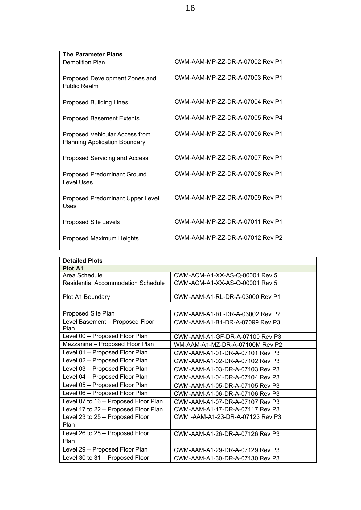| <b>The Parameter Plans</b>                                             |                                 |
|------------------------------------------------------------------------|---------------------------------|
| <b>Demolition Plan</b>                                                 | CWM-AAM-MP-ZZ-DR-A-07002 Rev P1 |
| Proposed Development Zones and<br>Public Realm                         | CWM-AAM-MP-ZZ-DR-A-07003 Rev P1 |
| <b>Proposed Building Lines</b>                                         | CWM-AAM-MP-ZZ-DR-A-07004 Rev P1 |
| <b>Proposed Basement Extents</b>                                       | CWM-AAM-MP-ZZ-DR-A-07005 Rev P4 |
| Proposed Vehicular Access from<br><b>Planning Application Boundary</b> | CWM-AAM-MP-ZZ-DR-A-07006 Rev P1 |
| Proposed Servicing and Access                                          | CWM-AAM-MP-ZZ-DR-A-07007 Rev P1 |
| Proposed Predominant Ground<br><b>Level Uses</b>                       | CWM-AAM-MP-ZZ-DR-A-07008 Rev P1 |
| Proposed Predominant Upper Level<br>Uses                               | CWM-AAM-MP-ZZ-DR-A-07009 Rev P1 |
| Proposed Site Levels                                                   | CWM-AAM-MP-ZZ-DR-A-07011 Rev P1 |
| Proposed Maximum Heights                                               | CWM-AAM-MP-ZZ-DR-A-07012 Rev P2 |

| <b>Detailed Plots</b>                     |                                  |  |  |  |  |  |  |  |
|-------------------------------------------|----------------------------------|--|--|--|--|--|--|--|
| <b>Plot A1</b>                            |                                  |  |  |  |  |  |  |  |
| Area Schedule                             | CWM-ACM-A1-XX-AS-Q-00001 Rev 5   |  |  |  |  |  |  |  |
| <b>Residential Accommodation Schedule</b> | CWM-ACM-A1-XX-AS-Q-00001 Rev 5   |  |  |  |  |  |  |  |
| Plot A1 Boundary                          | CWM-AAM-A1-RL-DR-A-03000 Rev P1  |  |  |  |  |  |  |  |
|                                           |                                  |  |  |  |  |  |  |  |
| Proposed Site Plan                        | CWM-AAM-A1-RL-DR-A-03002 Rev P2  |  |  |  |  |  |  |  |
| Level Basement - Proposed Floor<br>Plan   | CWM-AAM-A1-B1-DR-A-07099 Rev P3  |  |  |  |  |  |  |  |
| Level 00 - Proposed Floor Plan            | CWM-AAM-A1-GF-DR-A-07100 Rev P3  |  |  |  |  |  |  |  |
| Mezzanine - Proposed Floor Plan           | WM-AAM-A1-MZ-DR-A-07100M Rev P2  |  |  |  |  |  |  |  |
| Level 01 - Proposed Floor Plan            | CWM-AAM-A1-01-DR-A-07101 Rev P3  |  |  |  |  |  |  |  |
| Level 02 - Proposed Floor Plan            | CWM-AAM-A1-02-DR-A-07102 Rev P3  |  |  |  |  |  |  |  |
| Level 03 - Proposed Floor Plan            | CWM-AAM-A1-03-DR-A-07103 Rev P3  |  |  |  |  |  |  |  |
| Level 04 - Proposed Floor Plan            | CWM-AAM-A1-04-DR-A-07104 Rev P3  |  |  |  |  |  |  |  |
| Level 05 - Proposed Floor Plan            | CWM-AAM-A1-05-DR-A-07105 Rev P3  |  |  |  |  |  |  |  |
| Level 06 - Proposed Floor Plan            | CWM-AAM-A1-06-DR-A-07106 Rev P3  |  |  |  |  |  |  |  |
| Level 07 to 16 - Proposed Floor Plan      | CWM-AAM-A1-07-DR-A-07107 Rev P3  |  |  |  |  |  |  |  |
| Level 17 to 22 - Proposed Floor Plan      | CWM-AAM-A1-17-DR-A-07117 Rev P3  |  |  |  |  |  |  |  |
| Level 23 to 25 - Proposed Floor           | CWM -AAM-A1-23-DR-A-07123 Rev P3 |  |  |  |  |  |  |  |
| Plan                                      |                                  |  |  |  |  |  |  |  |
| Level 26 to 28 - Proposed Floor           | CWM-AAM-A1-26-DR-A-07126 Rev P3  |  |  |  |  |  |  |  |
| Plan                                      |                                  |  |  |  |  |  |  |  |
| Level 29 - Proposed Floor Plan            | CWM-AAM-A1-29-DR-A-07129 Rev P3  |  |  |  |  |  |  |  |
| Level 30 to 31 - Proposed Floor           | CWM-AAM-A1-30-DR-A-07130 Rev P3  |  |  |  |  |  |  |  |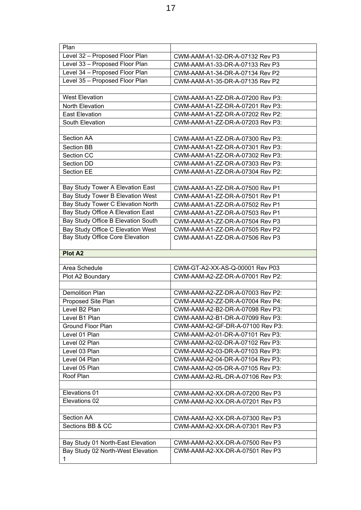| Plan                                    |                                  |  |  |  |  |  |  |  |
|-----------------------------------------|----------------------------------|--|--|--|--|--|--|--|
| Level 32 - Proposed Floor Plan          | CWM-AAM-A1-32-DR-A-07132 Rev P3  |  |  |  |  |  |  |  |
| Level 33 - Proposed Floor Plan          | CWM-AAM-A1-33-DR-A-07133 Rev P3  |  |  |  |  |  |  |  |
| Level 34 - Proposed Floor Plan          | CWM-AAM-A1-34-DR-A-07134 Rev P2  |  |  |  |  |  |  |  |
| Level 35 - Proposed Floor Plan          | CWM-AAM-A1-35-DR-A-07135 Rev P2  |  |  |  |  |  |  |  |
|                                         |                                  |  |  |  |  |  |  |  |
| <b>West Elevation</b>                   | CWM-AAM-A1-ZZ-DR-A-07200 Rev P3: |  |  |  |  |  |  |  |
| North Elevation                         | CWM-AAM-A1-ZZ-DR-A-07201 Rev P3: |  |  |  |  |  |  |  |
| <b>East Elevation</b>                   | CWM-AAM-A1-ZZ-DR-A-07202 Rev P2: |  |  |  |  |  |  |  |
| South Elevation                         | CWM-AAM-A1-ZZ-DR-A-07203 Rev P3: |  |  |  |  |  |  |  |
|                                         |                                  |  |  |  |  |  |  |  |
| <b>Section AA</b>                       | CWM-AAM-A1-ZZ-DR-A-07300 Rev P3: |  |  |  |  |  |  |  |
| <b>Section BB</b>                       | CWM-AAM-A1-ZZ-DR-A-07301 Rev P3: |  |  |  |  |  |  |  |
| <b>Section CC</b>                       | CWM-AAM-A1-ZZ-DR-A-07302 Rev P3: |  |  |  |  |  |  |  |
| <b>Section DD</b>                       | CWM-AAM-A1-ZZ-DR-A-07303 Rev P3: |  |  |  |  |  |  |  |
| <b>Section EE</b>                       | CWM-AAM-A1-ZZ-DR-A-07304 Rev P2: |  |  |  |  |  |  |  |
|                                         |                                  |  |  |  |  |  |  |  |
| Bay Study Tower A Elevation East        | CWM-AAM-A1-ZZ-DR-A-07500 Rev P1  |  |  |  |  |  |  |  |
| Bay Study Tower B Elevation West        | CWM-AAM-A1-ZZ-DR-A-07501 Rev P1  |  |  |  |  |  |  |  |
| Bay Study Tower C Elevation North       | CWM-AAM-A1-ZZ-DR-A-07502 Rev P1  |  |  |  |  |  |  |  |
| Bay Study Office A Elevation East       | CWM-AAM-A1-ZZ-DR-A-07503 Rev P1  |  |  |  |  |  |  |  |
| Bay Study Office B Elevation South      | CWM-AAM-A1-ZZ-DR-A-07504 Rev P3  |  |  |  |  |  |  |  |
| Bay Study Office C Elevation West       | CWM-AAM-A1-ZZ-DR-A-07505 Rev P2  |  |  |  |  |  |  |  |
| Bay Study Office Core Elevation         | CWM-AAM-A1-ZZ-DR-A-07506 Rev P3  |  |  |  |  |  |  |  |
|                                         |                                  |  |  |  |  |  |  |  |
|                                         |                                  |  |  |  |  |  |  |  |
| <b>Plot A2</b>                          |                                  |  |  |  |  |  |  |  |
|                                         |                                  |  |  |  |  |  |  |  |
| Area Schedule                           | CWM-GT-A2-XX-AS-Q-00001 Rev P03  |  |  |  |  |  |  |  |
| Plot A2 Boundary                        | CWM-AAM-A2-ZZ-DR-A-07001 Rev P2: |  |  |  |  |  |  |  |
|                                         |                                  |  |  |  |  |  |  |  |
| <b>Demolition Plan</b>                  | CWM-AAM-A2-ZZ-DR-A-07003 Rev P2: |  |  |  |  |  |  |  |
| Proposed Site Plan                      | CWM-AAM-A2-ZZ-DR-A-07004 Rev P4: |  |  |  |  |  |  |  |
| Level B2 Plan                           | CWM-AAM-A2-B2-DR-A-07098 Rev P3: |  |  |  |  |  |  |  |
| Level B1 Plan                           | CWM-AAM-A2-B1-DR-A-07099 Rev P3: |  |  |  |  |  |  |  |
| <b>Ground Floor Plan</b>                | CWM-AAM-A2-GF-DR-A-07100 Rev P3: |  |  |  |  |  |  |  |
| Level 01 Plan                           | CWM-AAM-A2-01-DR-A-07101 Rev P3: |  |  |  |  |  |  |  |
| Level 02 Plan                           | CWM-AAM-A2-02-DR-A-07102 Rev P3: |  |  |  |  |  |  |  |
| Level 03 Plan                           | CWM-AAM-A2-03-DR-A-07103 Rev P3: |  |  |  |  |  |  |  |
| Level 04 Plan                           | CWM-AAM-A2-04-DR-A-07104 Rev P3: |  |  |  |  |  |  |  |
| Level 05 Plan                           | CWM-AAM-A2-05-DR-A-07105 Rev P3: |  |  |  |  |  |  |  |
| Roof Plan                               | CWM-AAM-A2-RL-DR-A-07106 Rev P3: |  |  |  |  |  |  |  |
|                                         |                                  |  |  |  |  |  |  |  |
| Elevations 01                           | CWM-AAM-A2-XX-DR-A-07200 Rev P3  |  |  |  |  |  |  |  |
| Elevations 02                           | CWM-AAM-A2-XX-DR-A-07201 Rev P3  |  |  |  |  |  |  |  |
|                                         |                                  |  |  |  |  |  |  |  |
| Section AA                              | CWM-AAM-A2-XX-DR-A-07300 Rev P3  |  |  |  |  |  |  |  |
| Sections BB & CC                        | CWM-AAM-A2-XX-DR-A-07301 Rev P3  |  |  |  |  |  |  |  |
|                                         |                                  |  |  |  |  |  |  |  |
| Bay Study 01 North-East Elevation       | CWM-AAM-A2-XX-DR-A-07500 Rev P3  |  |  |  |  |  |  |  |
| Bay Study 02 North-West Elevation<br>1. | CWM-AAM-A2-XX-DR-A-07501 Rev P3  |  |  |  |  |  |  |  |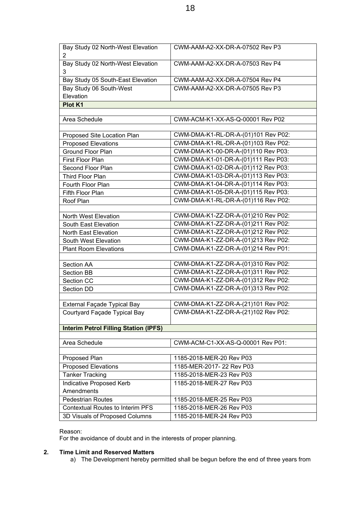| Bay Study 02 North-West Elevation            | CWM-AAM-A2-XX-DR-A-07502 Rev P3                                            |  |  |  |  |  |  |  |
|----------------------------------------------|----------------------------------------------------------------------------|--|--|--|--|--|--|--|
| 2                                            |                                                                            |  |  |  |  |  |  |  |
| Bay Study 02 North-West Elevation<br>3       | CWM-AAM-A2-XX-DR-A-07503 Rev P4                                            |  |  |  |  |  |  |  |
| Bay Study 05 South-East Elevation            | CWM-AAM-A2-XX-DR-A-07504 Rev P4                                            |  |  |  |  |  |  |  |
| Bay Study 06 South-West                      | CWM-AAM-A2-XX-DR-A-07505 Rev P3                                            |  |  |  |  |  |  |  |
| Elevation                                    |                                                                            |  |  |  |  |  |  |  |
| Plot K1                                      |                                                                            |  |  |  |  |  |  |  |
|                                              |                                                                            |  |  |  |  |  |  |  |
| Area Schedule                                | CWM-ACM-K1-XX-AS-Q-00001 Rev P02                                           |  |  |  |  |  |  |  |
|                                              |                                                                            |  |  |  |  |  |  |  |
| Proposed Site Location Plan                  | CWM-DMA-K1-RL-DR-A-(01)101 Rev P02:                                        |  |  |  |  |  |  |  |
| <b>Proposed Elevations</b>                   | CWM-DMA-K1-RL-DR-A-(01)103 Rev P02:                                        |  |  |  |  |  |  |  |
| Ground Floor Plan                            | CWM-DMA-K1-00-DR-A-(01)110 Rev P03:                                        |  |  |  |  |  |  |  |
| First Floor Plan                             | CWM-DMA-K1-01-DR-A-(01)111 Rev P03:                                        |  |  |  |  |  |  |  |
| Second Floor Plan                            | CWM-DMA-K1-02-DR-A-(01)112 Rev P03:                                        |  |  |  |  |  |  |  |
| Third Floor Plan                             | CWM-DMA-K1-03-DR-A-(01)113 Rev P03:                                        |  |  |  |  |  |  |  |
| Fourth Floor Plan                            | CWM-DMA-K1-04-DR-A-(01)114 Rev P03:                                        |  |  |  |  |  |  |  |
| Fifth Floor Plan                             | CWM-DMA-K1-05-DR-A-(01)115 Rev P03:                                        |  |  |  |  |  |  |  |
| Roof Plan                                    | CWM-DMA-K1-RL-DR-A-(01)116 Rev P02:                                        |  |  |  |  |  |  |  |
|                                              |                                                                            |  |  |  |  |  |  |  |
| North West Elevation                         | CWM-DMA-K1-ZZ-DR-A-(01)210 Rev P02:                                        |  |  |  |  |  |  |  |
| South East Elevation                         | CWM-DMA-K1-ZZ-DR-A-(01)211 Rev P02:                                        |  |  |  |  |  |  |  |
| North East Elevation                         | CWM-DMA-K1-ZZ-DR-A-(01)212 Rev P02:                                        |  |  |  |  |  |  |  |
| South West Elevation                         | CWM-DMA-K1-ZZ-DR-A-(01)213 Rev P02:                                        |  |  |  |  |  |  |  |
| <b>Plant Room Elevations</b>                 | CWM-DMA-K1-ZZ-DR-A-(01)214 Rev P01:                                        |  |  |  |  |  |  |  |
|                                              |                                                                            |  |  |  |  |  |  |  |
| Section AA                                   | CWM-DMA-K1-ZZ-DR-A-(01)310 Rev P02:<br>CWM-DMA-K1-ZZ-DR-A-(01)311 Rev P02: |  |  |  |  |  |  |  |
| Section BB                                   | CWM-DMA-K1-ZZ-DR-A-(01)312 Rev P02:                                        |  |  |  |  |  |  |  |
| Section CC                                   | CWM-DMA-K1-ZZ-DR-A-(01)313 Rev P02:                                        |  |  |  |  |  |  |  |
| Section DD                                   |                                                                            |  |  |  |  |  |  |  |
| External Façade Typical Bay                  | CWM-DMA-K1-ZZ-DR-A-(21)101 Rev P02:                                        |  |  |  |  |  |  |  |
| Courtyard Façade Typical Bay                 | CWM-DMA-K1-ZZ-DR-A-(21)102 Rev P02:                                        |  |  |  |  |  |  |  |
|                                              |                                                                            |  |  |  |  |  |  |  |
| <b>Interim Petrol Filling Station (IPFS)</b> |                                                                            |  |  |  |  |  |  |  |
|                                              |                                                                            |  |  |  |  |  |  |  |
| Area Schedule                                | CWM-ACM-C1-XX-AS-Q-00001 Rev P01:                                          |  |  |  |  |  |  |  |
|                                              |                                                                            |  |  |  |  |  |  |  |
| Proposed Plan                                | 1185-2018-MER-20 Rev P03                                                   |  |  |  |  |  |  |  |
| <b>Proposed Elevations</b>                   | 1185-MER-2017-22 Rev P03                                                   |  |  |  |  |  |  |  |
| <b>Tanker Tracking</b>                       | 1185-2018-MER-23 Rev P03                                                   |  |  |  |  |  |  |  |
| Indicative Proposed Kerb                     | 1185-2018-MER-27 Rev P03                                                   |  |  |  |  |  |  |  |
| Amendments                                   |                                                                            |  |  |  |  |  |  |  |
| <b>Pedestrian Routes</b>                     | 1185-2018-MER-25 Rev P03                                                   |  |  |  |  |  |  |  |
| <b>Contextual Routes to Interim PFS</b>      | 1185-2018-MER-26 Rev P03                                                   |  |  |  |  |  |  |  |
| 3D Visuals of Proposed Columns               | 1185-2018-MER-24 Rev P03                                                   |  |  |  |  |  |  |  |

#### Reason:

For the avoidance of doubt and in the interests of proper planning.

## **2. Time Limit and Reserved Matters**

a) The Development hereby permitted shall be begun before the end of three years from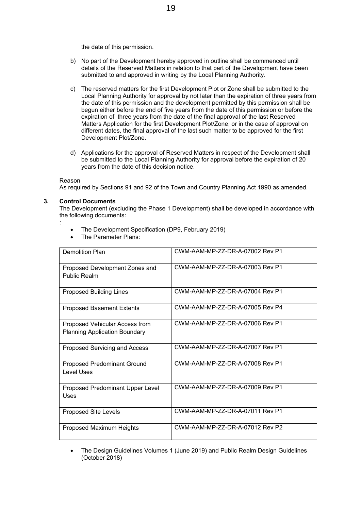the date of this permission.

- b) No part of the Development hereby approved in outline shall be commenced until details of the Reserved Matters in relation to that part of the Development have been submitted to and approved in writing by the Local Planning Authority.
- c) The reserved matters for the first Development Plot or Zone shall be submitted to the Local Planning Authority for approval by not later than the expiration of three years from the date of this permission and the development permitted by this permission shall be begun either before the end of five years from the date of this permission or before the expiration of three years from the date of the final approval of the last Reserved Matters Application for the first Development Plot/Zone, or in the case of approval on different dates, the final approval of the last such matter to be approved for the first Development Plot/Zone.
- d) Applications for the approval of Reserved Matters in respect of the Development shall be submitted to the Local Planning Authority for approval before the expiration of 20 years from the date of this decision notice.

#### Reason

As required by Sections 91 and 92 of the Town and Country Planning Act 1990 as amended.

#### **3. Control Documents**

The Development (excluding the Phase 1 Development) shall be developed in accordance with the following documents:

:

- The Development Specification (DP9, February 2019)
- The Parameter Plans:

| <b>Demolition Plan</b>                                                 | CWM-AAM-MP-ZZ-DR-A-07002 Rev P1 |
|------------------------------------------------------------------------|---------------------------------|
| Proposed Development Zones and<br>Public Realm                         | CWM-AAM-MP-ZZ-DR-A-07003 Rev P1 |
| <b>Proposed Building Lines</b>                                         | CWM-AAM-MP-ZZ-DR-A-07004 Rev P1 |
| <b>Proposed Basement Extents</b>                                       | CWM-AAM-MP-ZZ-DR-A-07005 Rev P4 |
| Proposed Vehicular Access from<br><b>Planning Application Boundary</b> | CWM-AAM-MP-ZZ-DR-A-07006 Rev P1 |
| Proposed Servicing and Access                                          | CWM-AAM-MP-ZZ-DR-A-07007 Rev P1 |
| <b>Proposed Predominant Ground</b><br>Level Uses                       | CWM-AAM-MP-ZZ-DR-A-07008 Rev P1 |
| Proposed Predominant Upper Level<br>Uses                               | CWM-AAM-MP-ZZ-DR-A-07009 Rev P1 |
| <b>Proposed Site Levels</b>                                            | CWM-AAM-MP-ZZ-DR-A-07011 Rev P1 |
| Proposed Maximum Heights                                               | CWM-AAM-MP-ZZ-DR-A-07012 Rev P2 |

 The Design Guidelines Volumes 1 (June 2019) and Public Realm Design Guidelines (October 2018)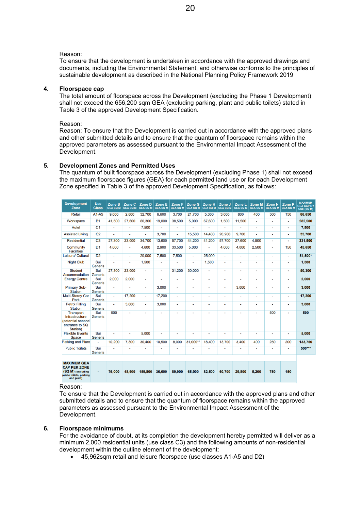#### Reason:

To ensure that the development is undertaken in accordance with the approved drawings and documents, including the Environmental Statement, and otherwise conforms to the principles of sustainable development as described in the National Planning Policy Framework 2019

#### **4. Floorspace cap**

The total amount of floorspace across the Development (excluding the Phase 1 Development) shall not exceed the 656,200 sqm GEA (excluding parking, plant and public toilets) stated in Table 3 of the approved Development Specification.

Reason:

Reason: To ensure that the Development is carried out in accordance with the approved plans and other submitted details and to ensure that the quantum of floorspace remains within the approved parameters as assessed pursuant to the Environmental Impact Assessment of the Development.

#### **5. Development Zones and Permitted Uses**

The quantum of built floorspace across the Development (excluding Phase 1) shall not exceed the maximum floorspace figures (GEA) for each permitted land use or for each Development Zone specified in Table 3 of the approved Development Specification, as follows:

| <b>Development</b><br>Zone                                                                              | <b>Use</b><br><b>Class</b> | Zone B<br><b>GEA SQ M</b> | Zone C<br><b>GEA SQ M</b> | Zone D<br><b>GEA SQ M</b> | Zone E<br><b>GEA SQ M</b> | Zone F<br><b>GEA SQ M</b> | Zone G<br><b>GEA SQ M</b> | Zone H<br><b>GEA SQ M</b> | Zone J<br><b>GEA SQ M</b> | Zone L<br><b>GEA SQ M</b> | Zone M<br><b>GEA SQ M</b> | Zone N<br><b>GEA SQ M</b> | Zone P<br><b>GEA SQ M</b> | <b>MAXIMUM</b><br><b>GEA CAP BY</b><br>USE (SQ M) |
|---------------------------------------------------------------------------------------------------------|----------------------------|---------------------------|---------------------------|---------------------------|---------------------------|---------------------------|---------------------------|---------------------------|---------------------------|---------------------------|---------------------------|---------------------------|---------------------------|---------------------------------------------------|
| Retail                                                                                                  | $A1-A5$                    | 9.000                     | 2,800                     | 32.700                    | 6,600                     | 3.700                     | 21.700                    | 5.300                     | 3.000                     | 800                       | 400                       | 500                       | 150                       | 86.650                                            |
| Workspace                                                                                               | <b>B1</b>                  | 41,500                    | 27,600                    | 80,300                    | 19,000                    | 38,500                    | 5,000                     | 67,600                    | 1,500                     | 11,500                    | $\overline{a}$            | $\overline{a}$            | $\blacksquare$            | 282,500                                           |
| <b>Hotel</b>                                                                                            | C <sub>1</sub>             | $\overline{a}$            | Ĭ.                        | 7.500                     | $\overline{a}$            | $\overline{a}$            |                           | $\overline{a}$            |                           |                           | $\overline{a}$            | $\overline{a}$            | ÷                         | 7.500                                             |
| <b>Assisted Living</b>                                                                                  | C <sub>2</sub>             | $\overline{a}$            | ٠                         | $\overline{\phantom{a}}$  | 3.700                     | ٠                         | 15.500                    | 14.400                    | 20,200                    | 9.700                     | $\overline{\phantom{a}}$  | $\overline{a}$            | $\blacksquare$            | 35,700                                            |
| <b>Residential</b>                                                                                      | C <sub>3</sub>             | 27,300                    | 23,000                    | 34,700                    | 13,600                    | 57.700                    | 44.200                    | 41,200                    | 57,700                    | 27,600                    | 4,500                     | $\overline{a}$            | ۰                         | 331,500                                           |
| Community<br><b>Facilities</b>                                                                          | D <sub>1</sub>             | 4.600                     | L.                        | 4.600                     | 2.900                     | 33.500                    | 5.000                     | $\overline{a}$            | 4.000                     | 4.000                     | 2.500                     | $\overline{a}$            | 150                       | 45.650                                            |
| Leisure/ Cultural                                                                                       | D <sub>2</sub>             | $\overline{a}$            | $\blacksquare$            | 20,000                    | 7.500                     | 7.500                     | $\blacksquare$            | 25.000                    | $\overline{\phantom{0}}$  | $\overline{a}$            | $\overline{a}$            | $\overline{a}$            | $\overline{a}$            | 51,500*                                           |
| <b>Night Club</b>                                                                                       | Sui<br>Generis             | $\overline{a}$            | ÷,                        | 1,500                     | ٠                         | ٠                         | $\overline{\phantom{0}}$  | 1,500                     | $\overline{a}$            | ٠                         | $\overline{a}$            | $\overline{a}$            | ٠                         | 1,500                                             |
| <b>Student</b><br>Accommodation                                                                         | Sui<br><b>Generis</b>      | 27,300                    | 23,000                    |                           | $\overline{a}$            | 31.200                    | 30,000                    | $\overline{a}$            | ٠                         |                           | $\blacksquare$            | ÷                         | ٠                         | 50,300                                            |
| <b>Energy Centre</b>                                                                                    | Sui<br><b>Generis</b>      | 2.000                     | 2.000                     | $\overline{a}$            | ٠                         | ٠                         | $\overline{a}$            | $\blacksquare$            | ٠                         | $\overline{a}$            | $\blacksquare$            | $\blacksquare$            | ٠                         | 2.000                                             |
| <b>Primary Sub-</b><br><b>Station</b>                                                                   | Sui<br><b>Generis</b>      | $\overline{a}$            | ×,                        | ٠                         | 3.000                     | ۰                         | ÷                         | $\blacksquare$            | $\overline{a}$            | 3.000                     | $\overline{a}$            | $\blacksquare$            | ٠                         | 3,000                                             |
| <b>Multi-Storey Car</b><br>Park                                                                         | Sui<br>Generis             | $\blacksquare$            | 17.200                    | $\blacksquare$            | 17.200                    | $\blacksquare$            | ٠                         | $\overline{\phantom{a}}$  | $\overline{a}$            | ٠                         | $\overline{\phantom{a}}$  | $\blacksquare$            | ٠                         | 17,200                                            |
| <b>Petrol Filling</b><br><b>Station</b>                                                                 | Sui<br>Generis             | $\overline{a}$            | 3.000                     | $\blacksquare$            | 3.000                     | $\overline{a}$            | $\blacksquare$            | $\overline{\phantom{a}}$  | $\overline{a}$            |                           | $\blacksquare$            |                           | $\blacksquare$            | 3,000                                             |
| <b>Transport</b><br>Infrastructure<br>(potential second<br>entrance to SQ<br>Station)                   | Sui<br><b>Generis</b>      | 500                       | ٠                         |                           | $\blacksquare$            | ٠                         |                           | $\overline{\phantom{a}}$  | ٠                         |                           | $\overline{\phantom{a}}$  | 500                       | ٠                         | 500                                               |
| <b>Flexible Events</b><br><b>Space</b>                                                                  | Sui<br><b>Generis</b>      | $\overline{a}$            | ٠                         | 5.000                     | $\overline{a}$            | ٠                         | ٠                         | $\blacksquare$            | ٠                         | $\overline{a}$            | $\overline{\phantom{a}}$  |                           | ٠                         | 5,000                                             |
| <b>Parking and Plant</b>                                                                                |                            | 10,200                    | 7.300                     | 30.400                    | 10.500                    | 8.000                     | 31.000**                  | 18,400                    | 13.700                    | 3.400                     | 400                       | 250                       | 200                       | 133,750                                           |
| <b>Public Toilets</b>                                                                                   | Sui<br><b>Generis</b>      |                           | ٠                         |                           | ٠                         | ٠                         |                           | ٠                         | ٠                         |                           | $\blacksquare$            | ٠                         | ٠                         | 500***                                            |
|                                                                                                         |                            |                           |                           |                           |                           |                           |                           |                           |                           |                           |                           |                           |                           |                                                   |
| <b>MAXIMUM GEA</b><br><b>CAP PER ZONE</b><br>(SQ M) (excluding<br>public toilets, parking<br>and plant) | $\overline{a}$             | 76,000                    | 48.900                    | 159,800                   | 36,600                    | 89.900                    | 65,900                    | 82,500                    | 60.700                    | 29,800                    | 5,200                     | 750                       | 150                       |                                                   |

#### Reason:

To ensure that the Development is carried out in accordance with the approved plans and other submitted details and to ensure that the quantum of floorspace remains within the approved parameters as assessed pursuant to the Environmental Impact Assessment of the Development.

#### **6. Floorspace minimums**

For the avoidance of doubt, at its completion the development hereby permitted will deliver as a minimum 2,000 residential units (use class C3) and the following amounts of non-residential development within the outline element of the development:

45,962sqm retail and leisure floorspace (use classes A1-A5 and D2)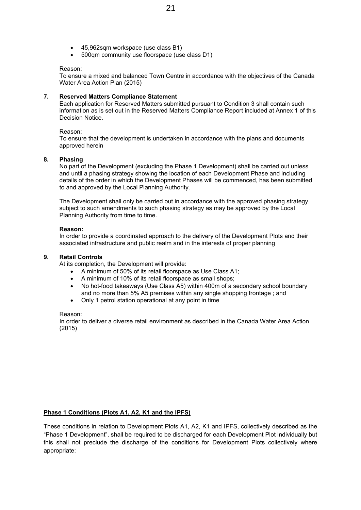- 45,962sqm workspace (use class B1)
- 500qm community use floorspace (use class D1)

#### Reason:

To ensure a mixed and balanced Town Centre in accordance with the objectives of the Canada Water Area Action Plan (2015)

#### **7. Reserved Matters Compliance Statement**

Each application for Reserved Matters submitted pursuant to Condition 3 shall contain such information as is set out in the Reserved Matters Compliance Report included at Annex 1 of this Decision Notice.

#### Reason:

To ensure that the development is undertaken in accordance with the plans and documents approved herein

#### **8. Phasing**

No part of the Development (excluding the Phase 1 Development) shall be carried out unless and until a phasing strategy showing the location of each Development Phase and including details of the order in which the Development Phases will be commenced, has been submitted to and approved by the Local Planning Authority.

The Development shall only be carried out in accordance with the approved phasing strategy, subject to such amendments to such phasing strategy as may be approved by the Local Planning Authority from time to time.

#### **Reason:**

In order to provide a coordinated approach to the delivery of the Development Plots and their associated infrastructure and public realm and in the interests of proper planning

#### **9. Retail Controls**

At its completion, the Development will provide:

- A minimum of 50% of its retail floorspace as Use Class A1;
- A minimum of 10% of its retail floorspace as small shops;
- No hot-food takeaways (Use Class A5) within 400m of a secondary school boundary and no more than 5% A5 premises within any single shopping frontage ; and
- Only 1 petrol station operational at any point in time

#### Reason:

In order to deliver a diverse retail environment as described in the Canada Water Area Action (2015)

#### **Phase 1 Conditions (Plots A1, A2, K1 and the IPFS)**

These conditions in relation to Development Plots A1, A2, K1 and IPFS, collectively described as the "Phase 1 Development", shall be required to be discharged for each Development Plot individually but this shall not preclude the discharge of the conditions for Development Plots collectively where appropriate: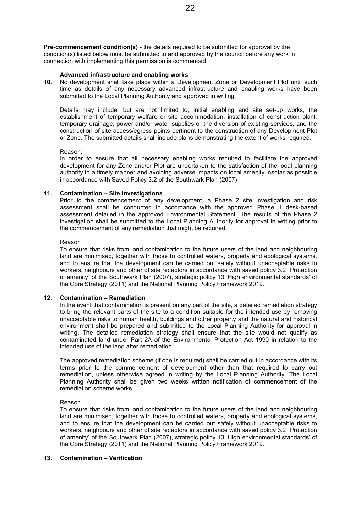**Pre-commencement condition(s)** - the details required to be submitted for approval by the condition(s) listed below must be submitted to and approved by the council before any work in connection with implementing this permission is commenced.

#### **Advanced infrastructure and enabling works**

**10.** No development shall take place within a Development Zone or Development Plot until such time as details of any necessary advanced infrastructure and enabling works have been submitted to the Local Planning Authority and approved in writing.

Details may include, but are not limited to, initial enabling and site set-up works, the establishment of temporary welfare or site accommodation, installation of construction plant, temporary drainage, power and/or water supplies or the diversion of existing services, and the construction of site access/egress points pertinent to the construction of any Development Plot or Zone. The submitted details shall include plans demonstrating the extent of works required.

#### Reason:

In order to ensure that all necessary enabling works required to facilitate the approved development for any Zone and/or Plot are undertaken to the satisfaction of the local planning authority in a timely manner and avoiding adverse impacts on local amenity insofar as possible in accordance with Saved Policy 3.2 of the Southwark Plan (2007)

#### **11. Contamination – Site Investigations**

Prior to the commencement of any development, a Phase 2 site investigation and risk assessment shall be conducted in accordance with the approved Phase 1 desk-based assessment detailed in the approved Environmental Statement. The results of the Phase 2 investigation shall be submitted to the Local Planning Authority for approval in writing prior to the commencement of any remediation that might be required.

#### Reason

To ensure that risks from land contamination to the future users of the land and neighbouring land are minimised, together with those to controlled waters, property and ecological systems, and to ensure that the development can be carried out safely without unacceptable risks to workers, neighbours and other offsite receptors in accordance with saved policy 3.2 `Protection of amenity' of the Southwark Plan (2007), strategic policy 13 'High environmental standards' of the Core Strategy (2011) and the National Planning Policy Framework 2019.

#### **12. Contamination – Remediation**

In the event that contamination is present on any part of the site, a detailed remediation strategy to bring the relevant parts of the site to a condition suitable for the intended use by removing unacceptable risks to human health, buildings and other property and the natural and historical environment shall be prepared and submitted to the Local Planning Authority for approval in writing. The detailed remediation strategy shall ensure that the site would not qualify as contaminated land under Part 2A of the Environmental Protection Act 1990 in relation to the intended use of the land after remediation.

The approved remediation scheme (if one is required) shall be carried out in accordance with its terms prior to the commencement of development other than that required to carry out remediation, unless otherwise agreed in writing by the Local Planning Authority. The Local Planning Authority shall be given two weeks written notification of commencement of the remediation scheme works.

#### Reason

To ensure that risks from land contamination to the future users of the land and neighbouring land are minimised, together with those to controlled waters, property and ecological systems, and to ensure that the development can be carried out safely without unacceptable risks to workers, neighbours and other offsite receptors in accordance with saved policy 3.2 `Protection of amenity' of the Southwark Plan (2007), strategic policy 13 'High environmental standards' of the Core Strategy (2011) and the National Planning Policy Framework 2019.

#### **13. Contamination – Verification**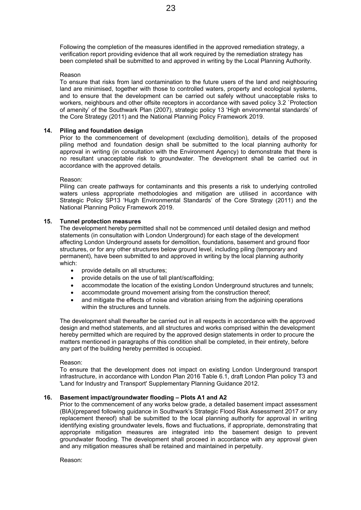Following the completion of the measures identified in the approved remediation strategy, a verification report providing evidence that all work required by the remediation strategy has been completed shall be submitted to and approved in writing by the Local Planning Authority.

#### Reason

To ensure that risks from land contamination to the future users of the land and neighbouring land are minimised, together with those to controlled waters, property and ecological systems, and to ensure that the development can be carried out safely without unacceptable risks to workers, neighbours and other offsite receptors in accordance with saved policy 3.2 `Protection of amenity' of the Southwark Plan (2007), strategic policy 13 'High environmental standards' of the Core Strategy (2011) and the National Planning Policy Framework 2019.

#### **14. Piling and foundation design**

Prior to the commencement of development (excluding demolition), details of the proposed piling method and foundation design shall be submitted to the local planning authority for approval in writing (in consultation with the Environment Agency) to demonstrate that there is no resultant unacceptable risk to groundwater. The development shall be carried out in accordance with the approved details.

#### Reason:

Piling can create pathways for contaminants and this presents a risk to underlying controlled waters unless appropriate methodologies and mitigation are utilised in accordance with Strategic Policy SP13 'Hugh Environmental Standards' of the Core Strategy (2011) and the National Planning Policy Framework 2019.

#### **15. Tunnel protection measures**

The development hereby permitted shall not be commenced until detailed design and method statements (in consultation with London Underground) for each stage of the development affecting London Underground assets for demolition, foundations, basement and ground floor structures, or for any other structures below ground level, including piling (temporary and permanent), have been submitted to and approved in writing by the local planning authority which:

- provide details on all structures:
- provide details on the use of tall plant/scaffolding;
- accommodate the location of the existing London Underground structures and tunnels;
- accommodate ground movement arising from the construction thereof;
- and mitigate the effects of noise and vibration arising from the adjoining operations within the structures and tunnels.

The development shall thereafter be carried out in all respects in accordance with the approved design and method statements, and all structures and works comprised within the development hereby permitted which are required by the approved design statements in order to procure the matters mentioned in paragraphs of this condition shall be completed, in their entirety, before any part of the building hereby permitted is occupied.

#### Reason:

To ensure that the development does not impact on existing London Underground transport infrastructure, in accordance with London Plan 2016 Table 6.1, draft London Plan policy T3 and 'Land for Industry and Transport' Supplementary Planning Guidance 2012.

#### **16. Basement impact/groundwater flooding – Plots A1 and A2**

Prior to the commencement of any works below grade, a detailed basement impact assessment (BIA)(prepared following guidance in Southwark's Strategic Flood Risk Assessment 2017 or any replacement thereof) shall be submitted to the local planning authority for approval in writing identifying existing groundwater levels, flows and fluctuations, if appropriate, demonstrating that appropriate mitigation measures are integrated into the basement design to prevent groundwater flooding. The development shall proceed in accordance with any approval given and any mitigation measures shall be retained and maintained in perpetuity.

Reason: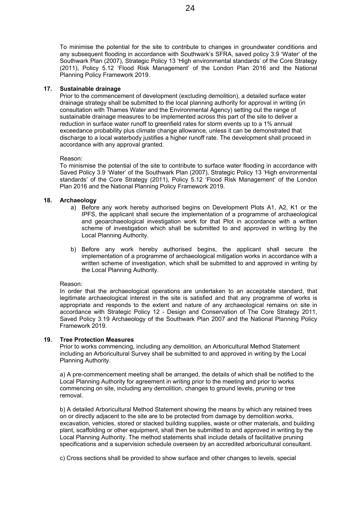To minimise the potential for the site to contribute to changes in groundwater conditions and any subsequent flooding in accordance with Southwark's SFRA, saved policy 3.9 'Water' of the Southwark Plan (2007), Strategic Policy 13 'High environmental standards' of the Core Strategy (2011), Policy 5.12 'Flood Risk Management' of the London Plan 2016 and the National Planning Policy Framework 2019.

#### **17. Sustainable drainage**

Prior to the commencement of development (excluding demolition), a detailed surface water drainage strategy shall be submitted to the local planning authority for approval in writing (in consultation with Thames Water and the Environmental Agency) setting out the range of sustainable drainage measures to be implemented across this part of the site to deliver a reduction in surface water runoff to greenfield rates for storm events up to a 1% annual exceedance probability plus climate change allowance, unless it can be demonstrated that discharge to a local waterbody justifies a higher runoff rate. The development shall proceed in accordance with any approval granted.

#### Reason:

To minismise the potential of the site to contribute to surface water flooding in accordance with Saved Policy 3.9 'Water' of the Southwark Plan (2007), Strategic Policy 13 'High environmental standards' of the Core Strategy (2011), Policy 5.12 'Flood Risk Management' of the London Plan 2016 and the National Planning Policy Framework 2019.

#### **18. Archaeology**

- a) Before any work hereby authorised begins on Development Plots A1, A2, K1 or the IPFS, the applicant shall secure the implementation of a programme of archaeological and geoarchaeological investigation work for that Plot in accordance with a written scheme of investigation which shall be submitted to and approved in writing by the Local Planning Authority.
- b) Before any work hereby authorised begins, the applicant shall secure the implementation of a programme of archaeological mitigation works in accordance with a written scheme of investigation, which shall be submitted to and approved in writing by the Local Planning Authority.

#### Reason:

In order that the archaeological operations are undertaken to an acceptable standard, that legitimate archaeological interest in the site is satisfied and that any programme of works is appropriate and responds to the extent and nature of any archaeological remains on site in accordance with Strategic Policy 12 - Design and Conservation of The Core Strategy 2011, Saved Policy 3.19 Archaeology of the Southwark Plan 2007 and the National Planning Policy Framework 2019.

#### **19. Tree Protection Measures**

Prior to works commencing, including any demolition, an Arboricultural Method Statement including an Arboricultural Survey shall be submitted to and approved in writing by the Local Planning Authority.

a) A pre-commencement meeting shall be arranged, the details of which shall be notified to the Local Planning Authority for agreement in writing prior to the meeting and prior to works commencing on site, including any demolition, changes to ground levels, pruning or tree removal.

b) A detailed Arboricultural Method Statement showing the means by which any retained trees on or directly adjacent to the site are to be protected from damage by demolition works, excavation, vehicles, stored or stacked building supplies, waste or other materials, and building plant, scaffolding or other equipment, shall then be submitted to and approved in writing by the Local Planning Authority. The method statements shall include details of facilitative pruning specifications and a supervision schedule overseen by an accredited arboricultural consultant.

c) Cross sections shall be provided to show surface and other changes to levels, special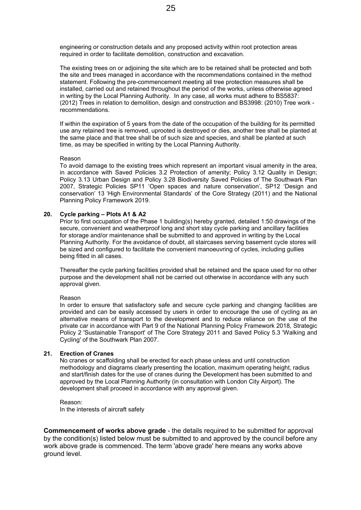engineering or construction details and any proposed activity within root protection areas required in order to facilitate demolition, construction and excavation.

The existing trees on or adjoining the site which are to be retained shall be protected and both the site and trees managed in accordance with the recommendations contained in the method statement. Following the pre-commencement meeting all tree protection measures shall be installed, carried out and retained throughout the period of the works, unless otherwise agreed in writing by the Local Planning Authority. In any case, all works must adhere to BS5837: (2012) Trees in relation to demolition, design and construction and BS3998: (2010) Tree work recommendations.

If within the expiration of 5 years from the date of the occupation of the building for its permitted use any retained tree is removed, uprooted is destroyed or dies, another tree shall be planted at the same place and that tree shall be of such size and species, and shall be planted at such time, as may be specified in writing by the Local Planning Authority.

#### Reason

To avoid damage to the existing trees which represent an important visual amenity in the area, in accordance with Saved Policies 3.2 Protection of amenity; Policy 3.12 Quality in Design; Policy 3.13 Urban Design and Policy 3.28 Biodiversity Saved Policies of The Southwark Plan 2007, Strategic Policies SP11 'Open spaces and nature conservation', SP12 'Design and conservation' 13 'High Environmental Standards' of the Core Strategy (2011) and the National Planning Policy Framework 2019.

#### **20. Cycle parking – Plots A1 & A2**

Prior to first occupation of the Phase 1 building(s) hereby granted, detailed 1:50 drawings of the secure, convenient and weatherproof long and short stay cycle parking and ancillary facilities for storage and/or maintenance shall be submitted to and approved in writing by the Local Planning Authority. For the avoidance of doubt, all staircases serving basement cycle stores will be sized and configured to facilitate the convenient manoeuvring of cycles, including gullies being fitted in all cases.

Thereafter the cycle parking facilities provided shall be retained and the space used for no other purpose and the development shall not be carried out otherwise in accordance with any such approval given.

#### Reason

In order to ensure that satisfactory safe and secure cycle parking and changing facilities are provided and can be easily accessed by users in order to encourage the use of cycling as an alternative means of transport to the development and to reduce reliance on the use of the private car in accordance with Part 9 of the National Planning Policy Framework 2018, Strategic Policy 2 'Sustainable Transport' of The Core Strategy 2011 and Saved Policy 5.3 'Walking and Cycling' of the Southwark Plan 2007.

#### **21. Erection of Cranes**

No cranes or scaffolding shall be erected for each phase unless and until construction methodology and diagrams clearly presenting the location, maximum operating height, radius and start/finish dates for the use of cranes during the Development has been submitted to and approved by the Local Planning Authority (in consultation with London City Airport). The development shall proceed in accordance with any approval given.

Reason: In the interests of aircraft safety

**Commencement of works above grade** - the details required to be submitted for approval by the condition(s) listed below must be submitted to and approved by the council before any work above grade is commenced. The term 'above grade' here means any works above ground level.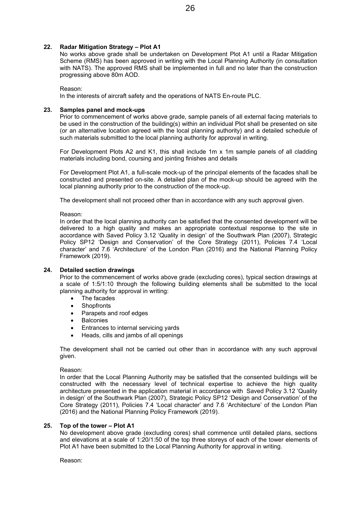#### **22. Radar Mitigation Strategy – Plot A1**

No works above grade shall be undertaken on Development Plot A1 until a Radar Mitigation Scheme (RMS) has been approved in writing with the Local Planning Authority (in consultation with NATS). The approved RMS shall be implemented in full and no later than the construction progressing above 80m AOD.

Reason:

In the interests of aircraft safety and the operations of NATS En-route PLC.

#### **23. Samples panel and mock-ups**

Prior to commencement of works above grade, sample panels of all external facing materials to be used in the construction of the building(s) within an individual Plot shall be presented on site (or an alternative location agreed with the local planning authority) and a detailed schedule of such materials submitted to the local planning authority for approval in writing.

For Development Plots A2 and K1, this shall include 1m x 1m sample panels of all cladding materials including bond, coursing and jointing finishes and details

For Development Plot A1, a full-scale mock-up of the principal elements of the facades shall be constructed and presented on-site. A detailed plan of the mock-up should be agreed with the local planning authority prior to the construction of the mock-up.

The development shall not proceed other than in accordance with any such approval given.

Reason:

In order that the local planning authority can be satisfied that the consented development will be delivered to a high quality and makes an appropriate contextual response to the site in accordance with Saved Policy 3.12 'Quality in design' of the Southwark Plan (2007), Strategic Policy SP12 'Design and Conservation' of the Core Strategy (2011), Policies 7.4 'Local character' and 7.6 'Architecture' of the London Plan (2016) and the National Planning Policy Framework (2019).

#### **24. Detailed section drawings**

Prior to the commencement of works above grade (excluding cores), typical section drawings at a scale of 1:5/1:10 through the following building elements shall be submitted to the local planning authority for approval in writing:

- The facades
- **Shopfronts**
- Parapets and roof edges
- Balconies
- Entrances to internal servicing yards
- Heads, cills and jambs of all openings

The development shall not be carried out other than in accordance with any such approval given.

#### Reason:

In order that the Local Planning Authority may be satisfied that the consented buildings will be constructed with the necessary level of technical expertise to achieve the high quality architecture presented in the application material in accordance with Saved Policy 3.12 'Quality in design' of the Southwark Plan (2007), Strategic Policy SP12 'Design and Conservation' of the Core Strategy (2011), Policies 7.4 'Local character' and 7.6 'Architecture' of the London Plan (2016) and the National Planning Policy Framework (2019).

#### **25. Top of the tower – Plot A1**

No development above grade (excluding cores) shall commence until detailed plans, sections and elevations at a scale of 1:20/1:50 of the top three storeys of each of the tower elements of Plot A1 have been submitted to the Local Planning Authority for approval in writing.

Reason: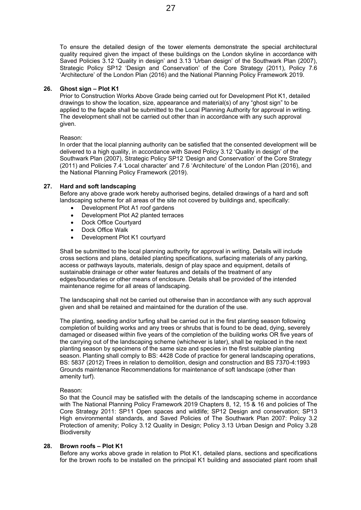To ensure the detailed design of the tower elements demonstrate the special architectural quality required given the impact of these buildings on the London skyline in accordance with Saved Policies 3.12 'Quality in design' and 3.13 'Urban design' of the Southwark Plan (2007), Strategic Policy SP12 'Design and Conservation' of the Core Strategy (2011), Policy 7.6 'Architecture' of the London Plan (2016) and the National Planning Policy Framework 2019.

#### **26. Ghost sign – Plot K1**

Prior to Construction Works Above Grade being carried out for Development Plot K1, detailed drawings to show the location, size, appearance and material(s) of any "ghost sign" to be applied to the façade shall be submitted to the Local Planning Authority for approval in writing. The development shall not be carried out other than in accordance with any such approval given.

#### Reason:

In order that the local planning authority can be satisfied that the consented development will be delivered to a high quality, in accordance with Saved Policy 3.12 'Quality in design' of the Southwark Plan (2007), Strategic Policy SP12 'Design and Conservation' of the Core Strategy (2011) and Policies 7.4 'Local character' and 7.6 'Architecture' of the London Plan (2016), and the National Planning Policy Framework (2019).

#### **27. Hard and soft landscaping**

Before any above grade work hereby authorised begins, detailed drawings of a hard and soft landscaping scheme for all areas of the site not covered by buildings and, specifically:

- Development Plot A1 roof gardens
- Development Plot A2 planted terraces
- Dock Office Courtyard
- Dock Office Walk
- Development Plot K1 courtyard

Shall be submitted to the local planning authority for approval in writing. Details will include cross sections and plans, detailed planting specifications, surfacing materials of any parking, access or pathways layouts, materials, design of play space and equipment, details of sustainable drainage or other water features and details of the treatment of any edges/boundaries or other means of enclosure. Details shall be provided of the intended maintenance regime for all areas of landscaping.

The landscaping shall not be carried out otherwise than in accordance with any such approval given and shall be retained and maintained for the duration of the use.

The planting, seeding and/or turfing shall be carried out in the first planting season following completion of building works and any trees or shrubs that is found to be dead, dying, severely damaged or diseased within five years of the completion of the building works OR five years of the carrying out of the landscaping scheme (whichever is later), shall be replaced in the next planting season by specimens of the same size and species in the first suitable planting season. Planting shall comply to BS: 4428 Code of practice for general landscaping operations, BS: 5837 (2012) Trees in relation to demolition, design and construction and BS 7370-4:1993 Grounds maintenance Recommendations for maintenance of soft landscape (other than amenity turf).

#### Reason:

So that the Council may be satisfied with the details of the landscaping scheme in accordance with The National Planning Policy Framework 2019 Chapters 8, 12, 15 & 16 and policies of The Core Strategy 2011: SP11 Open spaces and wildlife; SP12 Design and conservation; SP13 High environmental standards, and Saved Policies of The Southwark Plan 2007: Policy 3.2 Protection of amenity; Policy 3.12 Quality in Design; Policy 3.13 Urban Design and Policy 3.28 Biodiversity

#### **28. Brown roofs – Plot K1**

Before any works above grade in relation to Plot K1, detailed plans, sections and specifications for the brown roofs to be installed on the principal K1 building and associated plant room shall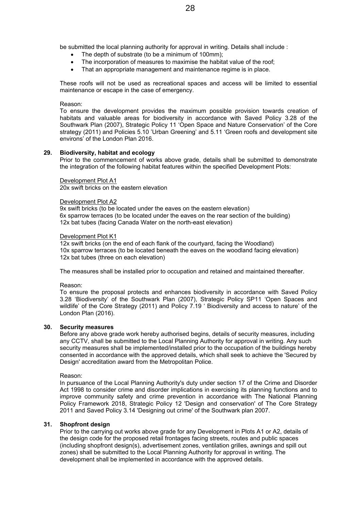be submitted the local planning authority for approval in writing. Details shall include :

- The depth of substrate (to be a minimum of 100mm);
- The incorporation of measures to maximise the habitat value of the roof;
- That an appropriate management and maintenance regime is in place.

These roofs will not be used as recreational spaces and access will be limited to essential maintenance or escape in the case of emergency.

#### Reason:

To ensure the development provides the maximum possible provision towards creation of habitats and valuable areas for biodiversity in accordance with Saved Policy 3.28 of the Southwark Plan (2007), Strategic Policy 11 'Open Space and Nature Conservation' of the Core strategy (2011) and Policies 5.10 'Urban Greening' and 5.11 'Green roofs and development site environs' of the London Plan 2016.

#### **29. Biodiversity, habitat and ecology**

Prior to the commencement of works above grade, details shall be submitted to demonstrate the integration of the following habitat features within the specified Development Plots:

#### Development Plot A1

20x swift bricks on the eastern elevation

#### Development Plot A2

9x swift bricks (to be located under the eaves on the eastern elevation) 6x sparrow terraces (to be located under the eaves on the rear section of the building) 12x bat tubes (facing Canada Water on the north-east elevation)

#### Development Plot K1

12x swift bricks (on the end of each flank of the courtyard, facing the Woodland) 10x sparrow terraces (to be located beneath the eaves on the woodland facing elevation) 12x bat tubes (three on each elevation)

The measures shall be installed prior to occupation and retained and maintained thereafter.

#### Reason:

To ensure the proposal protects and enhances biodiversity in accordance with Saved Policy 3.28 'Biodiversity' of the Southwark Plan (2007), Strategic Policy SP11 'Open Spaces and wildlife' of the Core Strategy (2011) and Policy 7.19 ' Biodiversity and access to nature' of the London Plan (2016).

#### **30. Security measures**

Before any above grade work hereby authorised begins, details of security measures, including any CCTV, shall be submitted to the Local Planning Authority for approval in writing. Any such security measures shall be implemented/installed prior to the occupation of the buildings hereby consented in accordance with the approved details, which shall seek to achieve the 'Secured by Design' accreditation award from the Metropolitan Police.

Reason:

In pursuance of the Local Planning Authority's duty under section 17 of the Crime and Disorder Act 1998 to consider crime and disorder implications in exercising its planning functions and to improve community safety and crime prevention in accordance with The National Planning Policy Framework 2018, Strategic Policy 12 'Design and conservation' of The Core Strategy 2011 and Saved Policy 3.14 'Designing out crime' of the Southwark plan 2007.

#### **31. Shopfront design**

Prior to the carrying out works above grade for any Development in Plots A1 or A2, details of the design code for the proposed retail frontages facing streets, routes and public spaces (including shopfront design(s), advertisement zones, ventilation grilles, awnings and spill out zones) shall be submitted to the Local Planning Authority for approval in writing. The development shall be implemented in accordance with the approved details.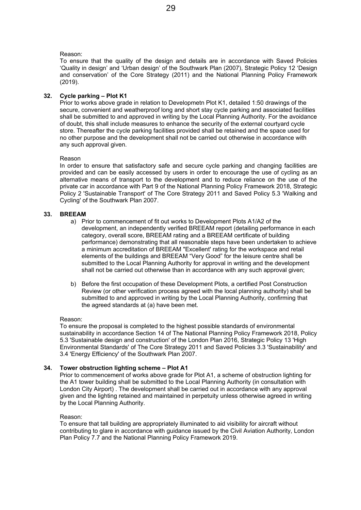#### Reason:

To ensure that the quality of the design and details are in accordance with Saved Policies 'Quality in design' and 'Urban design' of the Southwark Plan (2007), Strategic Policy 12 'Design and conservation' of the Core Strategy (2011) and the National Planning Policy Framework (2019).

#### **32. Cycle parking – Plot K1**

Prior to works above grade in relation to Developmetn Plot K1, detailed 1:50 drawings of the secure, convenient and weatherproof long and short stay cycle parking and associated facilities shall be submitted to and approved in writing by the Local Planning Authority. For the avoidance of doubt, this shall include measures to enhance the security of the external courtyard cycle store. Thereafter the cycle parking facilities provided shall be retained and the space used for no other purpose and the development shall not be carried out otherwise in accordance with any such approval given.

#### Reason

In order to ensure that satisfactory safe and secure cycle parking and changing facilities are provided and can be easily accessed by users in order to encourage the use of cycling as an alternative means of transport to the development and to reduce reliance on the use of the private car in accordance with Part 9 of the National Planning Policy Framework 2018, Strategic Policy 2 'Sustainable Transport' of The Core Strategy 2011 and Saved Policy 5.3 'Walking and Cycling' of the Southwark Plan 2007.

#### **33. BREEAM**

- a) Prior to commencement of fit out works to Development Plots A1/A2 of the development, an independently verified BREEAM report (detailing performance in each category, overall score, BREEAM rating and a BREEAM certificate of building performance) demonstrating that all reasonable steps have been undertaken to achieve a minimum accreditation of BREEAM "Excellent' rating for the workspace and retail elements of the buildings and BREEAM "Very Good" for the leisure centre shall be submitted to the Local Planning Authority for approval in writing and the development shall not be carried out otherwise than in accordance with any such approval given;
- b) Before the first occupation of these Development Plots, a certified Post Construction Review (or other verification process agreed with the local planning authority) shall be submitted to and approved in writing by the Local Planning Authority, confirming that the agreed standards at (a) have been met.

#### Reason:

To ensure the proposal is completed to the highest possible standards of environmental sustainability in accordance Section 14 of The National Planning Policy Framework 2018, Policy 5.3 'Sustainable design and construction' of the London Plan 2016, Strategic Policy 13 'High Environmental Standards' of The Core Strategy 2011 and Saved Policies 3.3 'Sustainability' and 3.4 'Energy Efficiency' of the Southwark Plan 2007.

#### **34. Tower obstruction lighting scheme – Plot A1**

Prior to commencement of works above grade for Plot A1, a scheme of obstruction lighting for the A1 tower building shall be submitted to the Local Planning Authority (in consultation with London City Airport) . The development shall be carried out in accordance with any approval given and the lighting retained and maintained in perpetuity unless otherwise agreed in writing by the Local Planning Authority.

#### Reason:

To ensure that tall building are appropriately illuminated to aid visibility for aircraft without contributing to glare in accordance with guidance issued by the Civil Aviation Authority, London Plan Policy 7.7 and the National Planning Policy Framework 2019.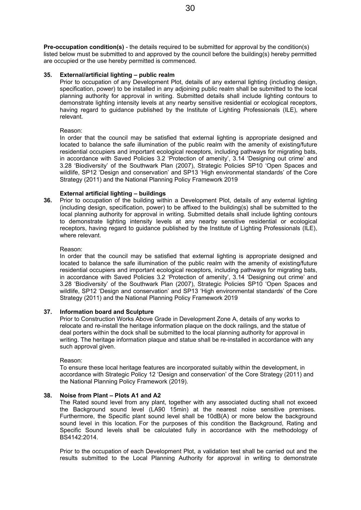**Pre-occupation condition(s)** - the details required to be submitted for approval by the condition(s) listed below must be submitted to and approved by the council before the building(s) hereby permitted are occupied or the use hereby permitted is commenced.

#### **35. External/artificial lighting – public realm**

Prior to occupation of any Development Plot, details of any external lighting (including design, specification, power) to be installed in any adjoining public realm shall be submitted to the local planning authority for approval in writing. Submitted details shall include lighting contours to demonstrate lighting intensity levels at any nearby sensitive residential or ecological receptors, having regard to guidance published by the Institute of Lighting Professionals (ILE), where relevant.

#### Reason:

In order that the council may be satisfied that external lighting is appropriate designed and located to balance the safe illumination of the public realm with the amenity of existing/future residential occupiers and important ecological receptors, including pathways for migrating bats, in accordance with Saved Policies 3.2 'Protection of amenity', 3.14 'Designing out crime' and 3.28 'Biodiversity' of the Southwark Plan (2007), Strategic Policies SP10 'Open Spaces and wildlife, SP12 'Design and conservation' and SP13 'High environmental standards' of the Core Strategy (2011) and the National Planning Policy Framework 2019

#### **External artificial lighting – buildings**

**36.** Prior to occupation of the building within a Development Plot, details of any external lighting (including design, specification, power) to be affixed to the building(s) shall be submitted to the local planning authority for approval in writing. Submitted details shall include lighting contours to demonstrate lighting intensity levels at any nearby sensitive residential or ecological receptors, having regard to guidance published by the Institute of Lighting Professionals (ILE), where relevant.

#### Reason:

In order that the council may be satisfied that external lighting is appropriate designed and located to balance the safe illumination of the public realm with the amenity of existing/future residential occupiers and important ecological receptors, including pathways for migrating bats, in accordance with Saved Policies 3.2 'Protection of amenity', 3.14 'Designing out crime' and 3.28 'Biodiversity' of the Southwark Plan (2007), Strategic Policies SP10 'Open Spaces and wildlife, SP12 'Design and conservation' and SP13 'High environmental standards' of the Core Strategy (2011) and the National Planning Policy Framework 2019

#### **37. Information board and Sculpture**

Prior to Construction Works Above Grade in Development Zone A, details of any works to relocate and re-install the heritage information plaque on the dock railings, and the statue of deal porters within the dock shall be submitted to the local planning authority for approval in writing. The heritage information plaque and statue shall be re-installed in accordance with any such approval given.

#### Reason:

To ensure these local heritage features are incorporated suitably within the development, in accordance with Strategic Policy 12 'Design and conservation' of the Core Strategy (2011) and the National Planning Policy Framework (2019).

#### **38. Noise from Plant – Plots A1 and A2**

The Rated sound level from any plant, together with any associated ducting shall not exceed the Background sound level (LA90 15min) at the nearest noise sensitive premises. Furthermore, the Specific plant sound level shall be 10dB(A) or more below the background sound level in this location. For the purposes of this condition the Background, Rating and Specific Sound levels shall be calculated fully in accordance with the methodology of BS4142:2014.

Prior to the occupation of each Development Plot, a validation test shall be carried out and the results submitted to the Local Planning Authority for approval in writing to demonstrate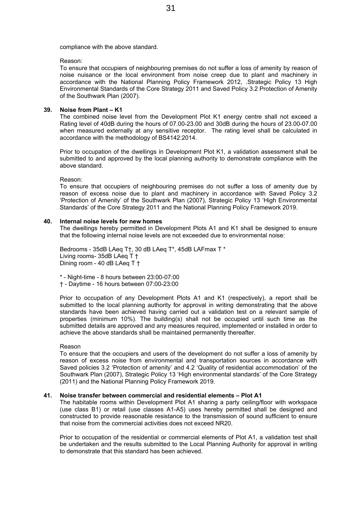compliance with the above standard.

Reason:

To ensure that occupiers of neighbouring premises do not suffer a loss of amenity by reason of noise nuisance or the local environment from noise creep due to plant and machinery in accordance with the National Planning Policy Framework 2012, .Strategic Policy 13 High Environmental Standards of the Core Strategy 2011 and Saved Policy 3.2 Protection of Amenity of the Southwark Plan (2007).

#### **39. Noise from Plant – K1**

The combined noise level from the Development Plot K1 energy centre shall not exceed a Rating level of 40dB during the hours of 07.00-23.00 and 30dB during the hours of 23.00-07.00 when measured externally at any sensitive receptor. The rating level shall be calculated in accordance with the methodology of BS4142:2014.

Prior to occupation of the dwellings in Development Plot K1, a validation assessment shall be submitted to and approved by the local planning authority to demonstrate compliance with the above standard.

Reason:

To ensure that occupiers of neighbouring premises do not suffer a loss of amenity due by reason of excess noise due to plant and machinery in accordance with Saved Policy 3.2 'Protection of Amenity' of the Southwark Plan (2007), Strategic Policy 13 'High Environmental Standards' of the Core Strategy 2011 and the National Planning Policy Framework 2019.

#### **40. Internal noise levels for new homes**

The dwellings hereby permitted in Development Plots A1 and K1 shall be designed to ensure that the following internal noise levels are not exceeded due to environmental noise:

Bedrooms - 35dB LAeq T†, 30 dB LAeq T\*, 45dB LAFmax T \* Living rooms- 35dB LAeq T † Dining room - 40 dB LAeq T †

- \* Night-time 8 hours between 23:00-07:00
- † Daytime 16 hours between 07:00-23:00

Prior to occupation of any Development Plots A1 and K1 (respectively), a report shall be submitted to the local planning authority for approval in writing demonstrating that the above standards have been achieved having carried out a validation test on a relevant sample of properties (minimum 10%). The building(s) shall not be occupied until such time as the submitted details are approved and any measures required, implemented or installed in order to achieve the above standards shall be maintained permanently thereafter.

#### Reason

To ensure that the occupiers and users of the development do not suffer a loss of amenity by reason of excess noise from environmental and transportation sources in accordance with Saved policies 3.2 'Protection of amenity' and 4.2 'Quality of residential accommodation' of the Southwark Plan (2007), Strategic Policy 13 'High environmental standards' of the Core Strategy (2011) and the National Planning Policy Framework 2019.

#### **41. Noise transfer between commercial and residential elements – Plot A1**

The habitable rooms within Development Plot A1 sharing a party ceiling/floor with workspace (use class B1) or retail (use classes A1-A5) uses hereby permitted shall be designed and constructed to provide reasonable resistance to the transmission of sound sufficient to ensure that noise from the commercial activities does not exceed NR20.

Prior to occupation of the residential or commercial elements of Plot A1, a validation test shall be undertaken and the results submitted to the Local Planning Authority for approval in writing to demonstrate that this standard has been achieved.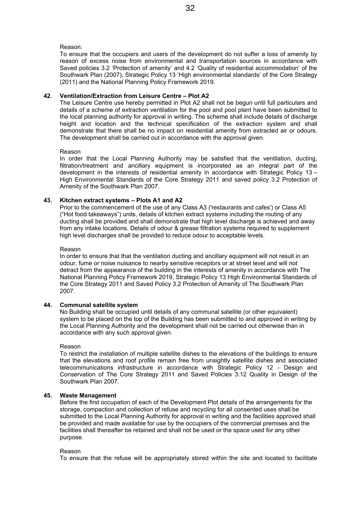Reason:

To ensure that the occupiers and users of the development do not suffer a loss of amenity by reason of excess noise from environmental and transportation sources in accordance with Saved policies 3.2 'Protection of amenity' and 4.2 'Quality of residential accommodation' of the Southwark Plan (2007), Strategic Policy 13 'High environmental standards' of the Core Strategy (2011) and the National Planning Policy Framework 2019.

#### **42. Ventilation/Extraction from Leisure Centre – Plot A2**

The Leisure Centre use hereby permitted in Plot A2 shall not be begun until full particulars and details of a scheme of extraction ventilation for the pool and pool plant have been submitted to the local planning authority for approval in writing. The scheme shall include details of discharge height and location and the technical specification of the extraction system and shall demonstrate that there shall be no impact on residential amenity from extracted air or odours. The development shall be carried out in accordance with the approval given.

#### Reason

In order that the Local Planning Authority may be satisfied that the ventilation, ducting, filtration/treatment and ancillary equipment is incorporated as an integral part of the development in the interests of residential amenity in accordance with Strategic Policy 13 – High Environmental Standards of the Core Strategy 2011 and saved policy 3.2 Protection of Amenity of the Southwark Plan 2007.

#### **43. Kitchen extract systems – Plots A1 and A2**

Prior to the commencement of the use of any Class A3 ('restaurants and cafes') or Class A5 ("Hot food takeaways") units, details of kitchen extract systems including the routing of any ducting shall be provided and shall demonstrate that high level discharge is achieved and away from any intake locations. Details of odour & grease filtration systems required to supplement high level discharges shall be provided to reduce odour to acceptable levels.

#### Reason

In order to ensure that that the ventilation ducting and ancillary equipment will not result in an odour, fume or noise nuisance to nearby sensitive receptors or at street level and will not detract from the appearance of the building in the interests of amenity in accordance with The National Planning Policy Framework 2019, Strategic Policy 13 High Environmental Standards of the Core Strategy 2011 and Saved Policy 3.2 Protection of Amenity of The Southwark Plan 2007.

#### **44. Communal satellite system**

No Building shall be occupied until details of any communal satellite (or other equivalent) system to be placed on the top of the Building has been submitted to and approved in writing by the Local Planning Authority and the development shall not be carried out otherwise than in accordance with any such approval given.

#### Reason

To restrict the installation of multiple satellite dishes to the elevations of the buildings to ensure that the elevations and roof profile remain free from unsightly satellite dishes and associated telecommunications infrastructure in accordance with Strategic Policy 12 - Design and Conservation of The Core Strategy 2011 and Saved Policies 3.12 Quality in Design of the Southwark Plan 2007.

#### **45. Waste Management**

Before the first occupation of each of the Development Plot details of the arrangements for the storage, compaction and collection of refuse and recycling for all consented uses shall be submitted to the Local Planning Authority for approval in writing and the facilities approved shall be provided and made available for use by the occupiers of the commercial premises and the facilities shall thereafter be retained and shall not be used or the space used for any other purpose.

#### Reason

To ensure that the refuse will be appropriately stored within the site and located to facilitate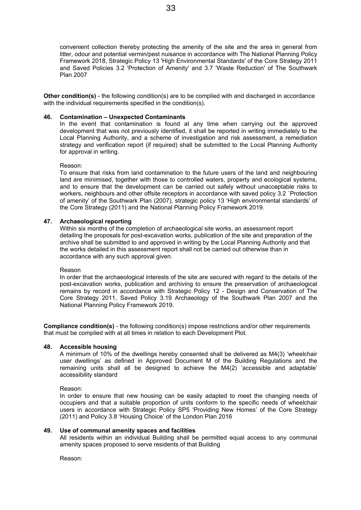convenient collection thereby protecting the amenity of the site and the area in general from litter, odour and potential vermin/pest nuisance in accordance with The National Planning Policy Framework 2018, Strategic Policy 13 'High Environmental Standards' of the Core Strategy 2011 and Saved Policies 3.2 'Protection of Amenity' and 3.7 'Waste Reduction' of The Southwark Plan 2007

**Other condition(s)** - the following condition(s) are to be complied with and discharged in accordance with the individual requirements specified in the condition(s).

#### **46. Contamination – Unexpected Contaminants**

In the event that contamination is found at any time when carrying out the approved development that was not previously identified, it shall be reported in writing immediately to the Local Planning Authority, and a scheme of investigation and risk assessment, a remediation strategy and verification report (if required) shall be submitted to the Local Planning Authority for approval in writing.

#### Reason:

To ensure that risks from land contamination to the future users of the land and neighbouring land are minimised, together with those to controlled waters, property and ecological systems, and to ensure that the development can be carried out safely without unacceptable risks to workers, neighbours and other offsite receptors in accordance with saved policy 3.2 `Protection of amenity' of the Southwark Plan (2007), strategic policy 13 'High environmental standards' of the Core Strategy (2011) and the National Planning Policy Framework 2019.

#### **47. Archaeological reporting**

Within six months of the completion of archaeological site works, an assessment report detailing the proposals for post-excavation works, publication of the site and preparation of the archive shall be submitted to and approved in writing by the Local Planning Authority and that the works detailed in this assessment report shall not be carried out otherwise than in accordance with any such approval given.

#### Reason

In order that the archaeological interests of the site are secured with regard to the details of the post-excavation works, publication and archiving to ensure the preservation of archaeological remains by record in accordance with Strategic Policy 12 - Design and Conservation of The Core Strategy 2011, Saved Policy 3.19 Archaeology of the Southwark Plan 2007 and the National Planning Policy Framework 2019.

**Compliance condition(s)** - the following condition(s) impose restrictions and/or other requirements that must be complied with at all times in relation to each Development Plot.

#### **48. Accessible housing**

A minimum of 10% of the dwellings hereby consented shall be delivered as M4(3) 'wheelchair user dwellings' as defined in Approved Document M of the Building Regulations and the remaining units shall all be designed to achieve the M4(2) 'accessible and adaptable' accessibility standard

Reason:

In order to ensure that new housing can be easily adapted to meet the changing needs of occupiers and that a suitable proportion of units conform to the specific needs of wheelchair users in accordance with Strategic Policy SP5 'Providing New Homes' of the Core Strategy (2011) and Policy 3.8 'Housing Choice' of the London Plan 2016

#### **49. Use of communal amenity spaces and facilities**

All residents within an individual Building shall be permitted equal access to any communal amenity spaces proposed to serve residents of that Building

Reason: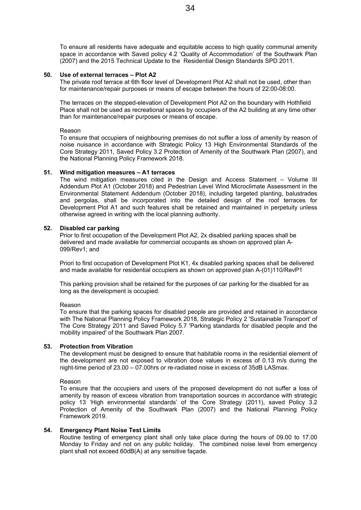To ensure all residents have adequate and equitable access to high quality communal amenity space in accordance with Saved policy 4.2 'Quality of Accommodation' of the Southwark Plan (2007) and the 2015 Technical Update to the Residential Design Standards SPD 2011.

#### **50. Use of external terraces – Plot A2**

The private roof terrace at 6th floor level of Development Plot A2 shall not be used, other than for maintenance/repair purposes or means of escape between the hours of 22:00-08:00.

The terraces on the stepped-elevation of Development Plot A2 on the boundary with Hothfield Place shall not be used as recreational spaces by occupiers of the A2 building at any time other than for maintenance/repair purposes or means of escape.

#### Reason

To ensure that occupiers of neighbouring premises do not suffer a loss of amenity by reason of noise nuisance in accordance with Strategic Policy 13 High Environmental Standards of the Core Strategy 2011, Saved Policy 3.2 Protection of Amenity of the Southwark Plan (2007), and the National Planning Policy Framework 2018.

#### **51. Wind mitigation measures – A1 terraces**

The wind mitigation measures cited in the Design and Access Statement – Volume III Addendum Plot A1 (October 2018) and Pedestrian Level Wind Microclimate Assessment in the Environmental Statement Addendum (October 2018), including targeted planting, balustrades and pergolas, shall be incorporated into the detailed design of the roof terraces for Development Plot A1 and such features shall be retained and maintained in perpetuity unless otherwise agreed in writing with the local planning authority.

#### **52. Disabled car parking**

Prior to first occupation of the Development Plot A2, 2x disabled parking spaces shall be delivered and made available for commercial occupants as shown on approved plan A-099/Rev1; and

Priori to first occupation of Development Plot K1, 4x disabled parking spaces shall be delivered and made available for residential occupiers as shown on approved plan A-(01)110/RevP1

This parking provision shall be retained for the purposes of car parking for the disabled for as long as the development is occupied.

#### Reason

To ensure that the parking spaces for disabled people are provided and retained in accordance with The National Planning Policy Framework 2018, Strategic Policy 2 'Sustainable Transport' of The Core Strategy 2011 and Saved Policy 5.7 'Parking standards for disabled people and the mobility impaired' of the Southwark Plan 2007.

#### **53. Protection from Vibration**

The development must be designed to ensure that habitable rooms in the residential element of the development are not exposed to vibration dose values in excess of 0.13 m/s during the night-time period of 23.00 – 07.00hrs or re-radiated noise in excess of 35dB LASmax.

#### Reason

To ensure that the occupiers and users of the proposed development do not suffer a loss of amenity by reason of excess vibration from transportation sources in accordance with strategic policy 13 'High environmental standards' of the Core Strategy (2011), saved Policy 3.2 Protection of Amenity of the Southwark Plan (2007) and the National Planning Policy Framework 2019.

#### **54. Emergency Plant Noise Test Limits**

Routine testing of emergency plant shall only take place during the hours of 09.00 to 17.00 Monday to Friday and not on any public holiday. The combined noise level from emergency plant shall not exceed 60dB(A) at any sensitive façade.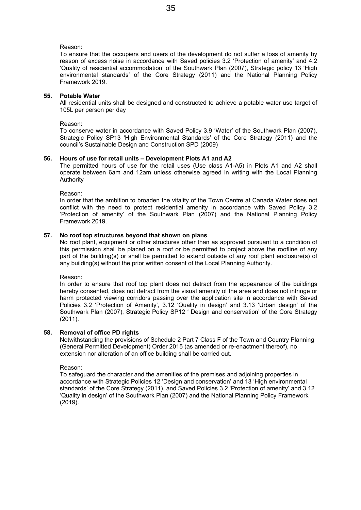#### Reason:

To ensure that the occupiers and users of the development do not suffer a loss of amenity by reason of excess noise in accordance with Saved policies 3.2 'Protection of amenity' and 4.2 'Quality of residential accommodation' of the Southwark Plan (2007), Strategic policy 13 'High environmental standards' of the Core Strategy (2011) and the National Planning Policy Framework 2019.

#### **55. Potable Water**

All residential units shall be designed and constructed to achieve a potable water use target of 105L per person per day

#### Reason:

To conserve water in accordance with Saved Policy 3.9 'Water' of the Southwark Plan (2007), Strategic Policy SP13 'High Environmental Standards' of the Core Strategy (2011) and the council's Sustainable Design and Construction SPD (2009)

#### **56. Hours of use for retail units – Development Plots A1 and A2**

The permitted hours of use for the retail uses (Use class A1-A5) in Plots A1 and A2 shall operate between 6am and 12am unless otherwise agreed in writing with the Local Planning Authority

Reason:

In order that the ambition to broaden the vitality of the Town Centre at Canada Water does not conflict with the need to protect residential amenity in accordance with Saved Policy 3.2 'Protection of amenity' of the Southwark Plan (2007) and the National Planning Policy Framework 2019.

#### **57. No roof top structures beyond that shown on plans**

No roof plant, equipment or other structures other than as approved pursuant to a condition of this permission shall be placed on a roof or be permitted to project above the roofline of any part of the building(s) or shall be permitted to extend outside of any roof plant enclosure(s) of any building(s) without the prior written consent of the Local Planning Authority.

Reason:

In order to ensure that roof top plant does not detract from the appearance of the buildings hereby consented, does not detract from the visual amenity of the area and does not infringe or harm protected viewing corridors passing over the application site in accordance with Saved Policies 3.2 'Protection of Amenity', 3.12 'Quality in design' and 3.13 'Urban design' of the Southwark Plan (2007), Strategic Policy SP12 ' Design and conservation' of the Core Strategy (2011).

#### **58. Removal of office PD rights**

Notwithstanding the provisions of Schedule 2 Part 7 Class F of the Town and Country Planning (General Permitted Development) Order 2015 (as amended or re-enactment thereof), no extension nor alteration of an office building shall be carried out.

#### Reason:

To safeguard the character and the amenities of the premises and adjoining properties in accordance with Strategic Policies 12 'Design and conservation' and 13 'High environmental standards' of the Core Strategy (2011), and Saved Policies 3.2 'Protection of amenity' and 3.12 'Quality in design' of the Southwark Plan (2007) and the National Planning Policy Framework (2019).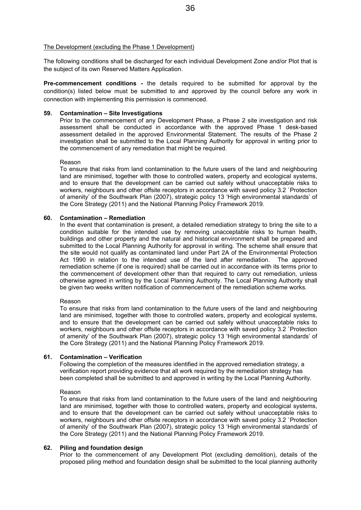The following conditions shall be discharged for each individual Development Zone and/or Plot that is the subject of its own Reserved Matters Application.

**Pre-commencement conditions -** the details required to be submitted for approval by the condition(s) listed below must be submitted to and approved by the council before any work in connection with implementing this permission is commenced.

#### **59. Contamination – Site Investigations**

Prior to the commencement of any Development Phase, a Phase 2 site investigation and risk assessment shall be conducted in accordance with the approved Phase 1 desk-based assessment detailed in the approved Environmental Statement. The results of the Phase 2 investigation shall be submitted to the Local Planning Authority for approval in writing prior to the commencement of any remediation that might be required.

#### Reason

To ensure that risks from land contamination to the future users of the land and neighbouring land are minimised, together with those to controlled waters, property and ecological systems, and to ensure that the development can be carried out safely without unacceptable risks to workers, neighbours and other offsite receptors in accordance with saved policy 3.2 `Protection of amenity' of the Southwark Plan (2007), strategic policy 13 'High environmental standards' of the Core Strategy (2011) and the National Planning Policy Framework 2019.

#### **60. Contamination – Remediation**

In the event that contamination is present, a detailed remediation strategy to bring the site to a condition suitable for the intended use by removing unacceptable risks to human health, buildings and other property and the natural and historical environment shall be prepared and submitted to the Local Planning Authority for approval in writing. The scheme shall ensure that the site would not qualify as contaminated land under Part 2A of the Environmental Protection Act 1990 in relation to the intended use of the land after remediation. The approved remediation scheme (if one is required) shall be carried out in accordance with its terms prior to the commencement of development other than that required to carry out remediation, unless otherwise agreed in writing by the Local Planning Authority. The Local Planning Authority shall be given two weeks written notification of commencement of the remediation scheme works.

#### Reason

To ensure that risks from land contamination to the future users of the land and neighbouring land are minimised, together with those to controlled waters, property and ecological systems, and to ensure that the development can be carried out safely without unacceptable risks to workers, neighbours and other offsite receptors in accordance with saved policy 3.2 `Protection of amenity' of the Southwark Plan (2007), strategic policy 13 'High environmental standards' of the Core Strategy (2011) and the National Planning Policy Framework 2019.

#### **61. Contamination – Verification**

Following the completion of the measures identified in the approved remediation strategy, a verification report providing evidence that all work required by the remediation strategy has been completed shall be submitted to and approved in writing by the Local Planning Authority.

#### Reason

To ensure that risks from land contamination to the future users of the land and neighbouring land are minimised, together with those to controlled waters, property and ecological systems, and to ensure that the development can be carried out safely without unacceptable risks to workers, neighbours and other offsite receptors in accordance with saved policy 3.2 `Protection of amenity' of the Southwark Plan (2007), strategic policy 13 'High environmental standards' of the Core Strategy (2011) and the National Planning Policy Framework 2019.

#### **62. Piling and foundation design**

Prior to the commencement of any Development Plot (excluding demolition), details of the proposed piling method and foundation design shall be submitted to the local planning authority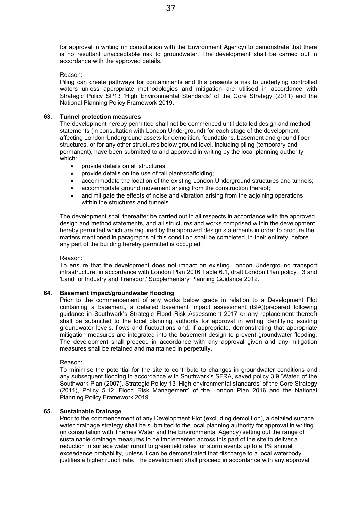for approval in writing (in consultation with the Environment Agency) to demonstrate that there is no resultant unacceptable risk to groundwater. The development shall be carried out in accordance with the approved details.

#### Reason:

Piling can create pathways for contaminants and this presents a risk to underlying controlled waters unless appropriate methodologies and mitigation are utilised in accordance with Strategic Policy SP13 'High Environmental Standards' of the Core Strategy (2011) and the National Planning Policy Framework 2019.

#### **63. Tunnel protection measures**

The development hereby permitted shall not be commenced until detailed design and method statements (in consultation with London Underground) for each stage of the development affecting London Underground assets for demolition, foundations, basement and ground floor structures, or for any other structures below ground level, including piling (temporary and permanent), have been submitted to and approved in writing by the local planning authority which:

- provide details on all structures;
- provide details on the use of tall plant/scaffolding;
- accommodate the location of the existing London Underground structures and tunnels;
- accommodate ground movement arising from the construction thereof;
- and mitigate the effects of noise and vibration arising from the adjoining operations within the structures and tunnels.

The development shall thereafter be carried out in all respects in accordance with the approved design and method statements, and all structures and works comprised within the development hereby permitted which are required by the approved design statements in order to procure the matters mentioned in paragraphs of this condition shall be completed, in their entirety, before any part of the building hereby permitted is occupied.

#### Reason:

To ensure that the development does not impact on existing London Underground transport infrastructure, in accordance with London Plan 2016 Table 6.1, draft London Plan policy T3 and 'Land for Industry and Transport' Supplementary Planning Guidance 2012.

#### **64. Basement impact/groundwater flooding**

Prior to the commencement of any works below grade in relation to a Development Plot containing a basement, a detailed basement impact assessment (BIA)(prepared following guidance in Southwark's Strategic Flood Risk Assessment 2017 or any replacement thereof) shall be submitted to the local planning authority for approval in writing identifying existing groundwater levels, flows and fluctuations and, if appropriate, demonstrating that appropriate mitigation measures are integrated into the basement design to prevent groundwater flooding. The development shall proceed in accordance with any approval given and any mitigation measures shall be retained and maintained in perpetuity.

#### Reason:

To minimise the potential for the site to contribute to changes in groundwater conditions and any subsequent flooding in accordance with Southwark's SFRA, saved policy 3.9 'Water' of the Southwark Plan (2007), Strategic Policy 13 'High environmental standards' of the Core Strategy (2011), Policy 5.12 'Flood Risk Management' of the London Plan 2016 and the National Planning Policy Framework 2019.

#### **65. Sustainable Drainage**

Prior to the commencement of any Development Plot (excluding demolition), a detailed surface water drainage strategy shall be submitted to the local planning authority for approval in writing (in consultation with Thames Water and the Environmental Agency) setting out the range of sustainable drainage measures to be implemented across this part of the site to deliver a reduction in surface water runoff to greenfield rates for storm events up to a 1% annual exceedance probability, unless it can be demonstrated that discharge to a local waterbody justifies a higher runoff rate. The development shall proceed in accordance with any approval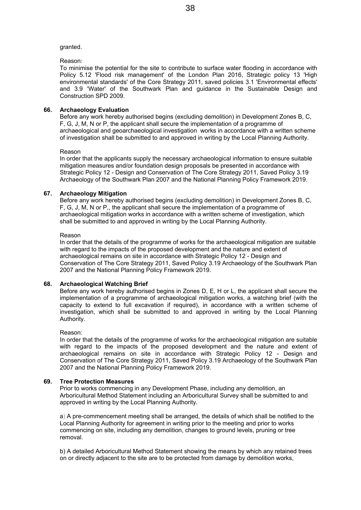#### granted.

#### Reason:

To minimise the potential for the site to contribute to surface water flooding in accordance with Policy 5.12 'Flood risk management' of the London Plan 2016, Strategic policy 13 'High environmental standards' of the Core Strategy 2011, saved policies 3.1 'Environmental effects' and 3.9 'Water' of the Southwark Plan and guidance in the Sustainable Design and Construction SPD 2009.

#### **66. Archaeology Evaluation**

Before any work hereby authorised begins (excluding demolition) in Development Zones B, C, F, G, J, M, N or P, the applicant shall secure the implementation of a programme of archaeological and geoarchaeological investigation works in accordance with a written scheme of investigation shall be submitted to and approved in writing by the Local Planning Authority.

#### Reason

In order that the applicants supply the necessary archaeological information to ensure suitable mitigation measures and/or foundation design proposals be presented in accordance with Strategic Policy 12 - Design and Conservation of The Core Strategy 2011, Saved Policy 3.19 Archaeology of the Southwark Plan 2007 and the National Planning Policy Framework 2019.

#### **67. Archaeology Mitigation**

Before any work hereby authorised begins (excluding demolition) in Development Zones B, C, F, G, J, M, N or P,, the applicant shall secure the implementation of a programme of archaeological mitigation works in accordance with a written scheme of investigation, which shall be submitted to and approved in writing by the Local Planning Authority.

#### Reason

In order that the details of the programme of works for the archaeological mitigation are suitable with regard to the impacts of the proposed development and the nature and extent of archaeological remains on site in accordance with Strategic Policy 12 - Design and Conservation of The Core Strategy 2011, Saved Policy 3.19 Archaeology of the Southwark Plan 2007 and the National Planning Policy Framework 2019.

#### **68. Archaeological Watching Brief**

Before any work hereby authorised begins in Zones D, E, H or L, the applicant shall secure the implementation of a programme of archaeological mitigation works, a watching brief (with the capacity to extend to full excavation if required), in accordance with a written scheme of investigation, which shall be submitted to and approved in writing by the Local Planning Authority.

#### Reason:

In order that the details of the programme of works for the archaeological mitigation are suitable with regard to the impacts of the proposed development and the nature and extent of archaeological remains on site in accordance with Strategic Policy 12 - Design and Conservation of The Core Strategy 2011, Saved Policy 3.19 Archaeology of the Southwark Plan 2007 and the National Planning Policy Framework 2019.

#### **69. Tree Protection Measures**

Prior to works commencing in any Development Phase, including any demolition, an Arboricultural Method Statement including an Arboricultural Survey shall be submitted to and approved in writing by the Local Planning Authority.

a) A pre-commencement meeting shall be arranged, the details of which shall be notified to the Local Planning Authority for agreement in writing prior to the meeting and prior to works commencing on site, including any demolition, changes to ground levels, pruning or tree removal.

b) A detailed Arboricultural Method Statement showing the means by which any retained trees on or directly adjacent to the site are to be protected from damage by demolition works,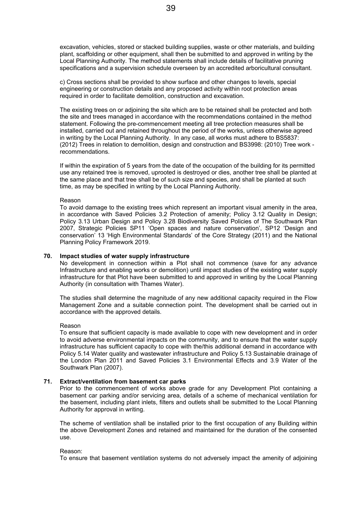excavation, vehicles, stored or stacked building supplies, waste or other materials, and building plant, scaffolding or other equipment, shall then be submitted to and approved in writing by the Local Planning Authority. The method statements shall include details of facilitative pruning specifications and a supervision schedule overseen by an accredited arboricultural consultant.

c) Cross sections shall be provided to show surface and other changes to levels, special engineering or construction details and any proposed activity within root protection areas required in order to facilitate demolition, construction and excavation.

The existing trees on or adjoining the site which are to be retained shall be protected and both the site and trees managed in accordance with the recommendations contained in the method statement. Following the pre-commencement meeting all tree protection measures shall be installed, carried out and retained throughout the period of the works, unless otherwise agreed in writing by the Local Planning Authority. In any case, all works must adhere to BS5837: (2012) Trees in relation to demolition, design and construction and BS3998: (2010) Tree work recommendations.

If within the expiration of 5 years from the date of the occupation of the building for its permitted use any retained tree is removed, uprooted is destroyed or dies, another tree shall be planted at the same place and that tree shall be of such size and species, and shall be planted at such time, as may be specified in writing by the Local Planning Authority.

#### Reason

To avoid damage to the existing trees which represent an important visual amenity in the area, in accordance with Saved Policies 3.2 Protection of amenity; Policy 3.12 Quality in Design; Policy 3.13 Urban Design and Policy 3.28 Biodiversity Saved Policies of The Southwark Plan 2007, Strategic Policies SP11 'Open spaces and nature conservation', SP12 'Design and conservation' 13 'High Environmental Standards' of the Core Strategy (2011) and the National Planning Policy Framework 2019.

#### **70. Impact studies of water supply infrastructure**

No development in connection within a Plot shall not commence (save for any advance Infrastructure and enabling works or demolition) until impact studies of the existing water supply infrastructure for that Plot have been submitted to and approved in writing by the Local Planning Authority (in consultation with Thames Water).

The studies shall determine the magnitude of any new additional capacity required in the Flow Management Zone and a suitable connection point. The development shall be carried out in accordance with the approved details.

#### Reason

To ensure that sufficient capacity is made available to cope with new development and in order to avoid adverse environmental impacts on the community, and to ensure that the water supply infrastructure has sufficient capacity to cope with the/this additional demand in accordance with Policy 5.14 Water quality and wastewater infrastructure and Policy 5.13 Sustainable drainage of the London Plan 2011 and Saved Policies 3.1 Environmental Effects and 3.9 Water of the Southwark Plan (2007).

#### **71. Extract/ventilation from basement car parks**

Prior to the commencement of works above grade for any Development Plot containing a basement car parking and/or servicing area, details of a scheme of mechanical ventilation for the basement, including plant inlets, filters and outlets shall be submitted to the Local Planning Authority for approval in writing.

The scheme of ventilation shall be installed prior to the first occupation of any Building within the above Development Zones and retained and maintained for the duration of the consented use.

#### Reason:

To ensure that basement ventilation systems do not adversely impact the amenity of adjoining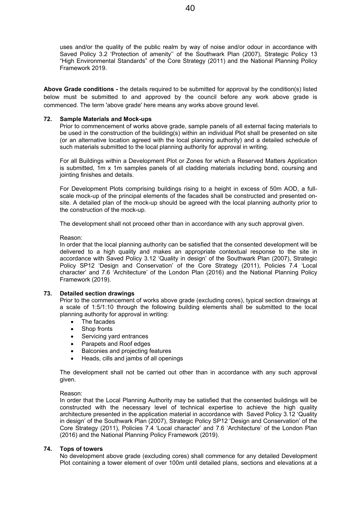uses and/or the quality of the public realm by way of noise and/or odour in accordance with Saved Policy 3.2 'Protection of amenity'' of the Southwark Plan (2007), Strategic Policy 13 "High Environmental Standards" of the Core Strategy (2011) and the National Planning Policy Framework 2019.

**Above Grade conditions -** the details required to be submitted for approval by the condition(s) listed below must be submitted to and approved by the council before any work above grade is commenced. The term 'above grade' here means any works above ground level.

#### **72. Sample Materials and Mock-ups**

Prior to commencement of works above grade, sample panels of all external facing materials to be used in the construction of the building(s) within an individual Plot shall be presented on site (or an alternative location agreed with the local planning authority) and a detailed schedule of such materials submitted to the local planning authority for approval in writing.

For all Buildings within a Development Plot or Zones for which a Reserved Matters Application is submitted, 1m x 1m samples panels of all cladding materials including bond, coursing and jointing finishes and details.

For Development Plots comprising buildings rising to a height in excess of 50m AOD, a fullscale mock-up of the principal elements of the facades shall be constructed and presented onsite. A detailed plan of the mock-up should be agreed with the local planning authority prior to the construction of the mock-up.

The development shall not proceed other than in accordance with any such approval given.

Reason:

In order that the local planning authority can be satisfied that the consented development will be delivered to a high quality and makes an appropriate contextual response to the site in accordance with Saved Policy 3.12 'Quality in design' of the Southwark Plan (2007), Strategic Policy SP12 'Design and Conservation' of the Core Strategy (2011), Policies 7.4 'Local character' and 7.6 'Architecture' of the London Plan (2016) and the National Planning Policy Framework (2019).

#### **73. Detailed section drawings**

Prior to the commencement of works above grade (excluding cores), typical section drawings at a scale of 1:5/1:10 through the following building elements shall be submitted to the local planning authority for approval in writing:

- The facades
- Shop fronts
- Servicing yard entrances
- Parapets and Roof edges
- Balconies and projecting features
- Heads, cills and jambs of all openings

The development shall not be carried out other than in accordance with any such approval given.

#### Reason:

In order that the Local Planning Authority may be satisfied that the consented buildings will be constructed with the necessary level of technical expertise to achieve the high quality architecture presented in the application material in accordance with Saved Policy 3.12 'Quality in design' of the Southwark Plan (2007), Strategic Policy SP12 'Design and Conservation' of the Core Strategy (2011), Policies 7.4 'Local character' and 7.6 'Architecture' of the London Plan (2016) and the National Planning Policy Framework (2019).

#### **74. Tops of towers**

No development above grade (excluding cores) shall commence for any detailed Development Plot containing a tower element of over 100m until detailed plans, sections and elevations at a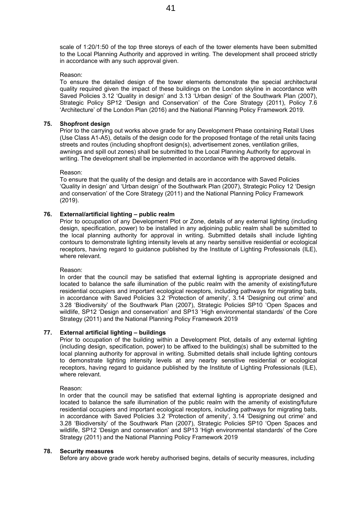scale of 1:20/1:50 of the top three storeys of each of the tower elements have been submitted to the Local Planning Authority and approved in writing. The development shall proceed strictly in accordance with any such approval given.

#### Reason:

To ensure the detailed design of the tower elements demonstrate the special architectural quality required given the impact of these buildings on the London skyline in accordance with Saved Policies 3.12 'Quality in design' and 3.13 'Urban design' of the Southwark Plan (2007), Strategic Policy SP12 'Design and Conservation' of the Core Strategy (2011), Policy 7.6 'Architecture' of the London Plan (2016) and the National Planning Policy Framework 2019.

#### **75. Shopfront design**

Prior to the carrying out works above grade for any Development Phase containing Retail Uses (Use Class A1-A5), details of the design code for the proposed frontage of the retail units facing streets and routes (including shopfront design(s), advertisement zones, ventilation grilles, awnings and spill out zones) shall be submitted to the Local Planning Authority for approval in writing. The development shall be implemented in accordance with the approved details.

Reason:

To ensure that the quality of the design and details are in accordance with Saved Policies 'Quality in design' and 'Urban design' of the Southwark Plan (2007), Strategic Policy 12 'Design and conservation' of the Core Strategy (2011) and the National Planning Policy Framework (2019).

#### **76. External/artificial lighting – public realm**

Prior to occupation of any Development Plot or Zone, details of any external lighting (including design, specification, power) to be installed in any adjoining public realm shall be submitted to the local planning authority for approval in writing. Submitted details shall include lighting contours to demonstrate lighting intensity levels at any nearby sensitive residential or ecological receptors, having regard to guidance published by the Institute of Lighting Professionals (ILE), where relevant.

#### Reason:

In order that the council may be satisfied that external lighting is appropriate designed and located to balance the safe illumination of the public realm with the amenity of existing/future residential occupiers and important ecological receptors, including pathways for migrating bats, in accordance with Saved Policies 3.2 'Protection of amenity', 3.14 'Designing out crime' and 3.28 'Biodiversity' of the Southwark Plan (2007), Strategic Policies SP10 'Open Spaces and wildlife, SP12 'Design and conservation' and SP13 'High environmental standards' of the Core Strategy (2011) and the National Planning Policy Framework 2019

#### **77. External artificial lighting – buildings**

Prior to occupation of the building within a Development Plot, details of any external lighting (including design, specification, power) to be affixed to the building(s) shall be submitted to the local planning authority for approval in writing. Submitted details shall include lighting contours to demonstrate lighting intensity levels at any nearby sensitive residential or ecological receptors, having regard to guidance published by the Institute of Lighting Professionals (ILE), where relevant.

Reason:

In order that the council may be satisfied that external lighting is appropriate designed and located to balance the safe illumination of the public realm with the amenity of existing/future residential occupiers and important ecological receptors, including pathways for migrating bats, in accordance with Saved Policies 3.2 'Protection of amenity', 3.14 'Designing out crime' and 3.28 'Biodiversity' of the Southwark Plan (2007), Strategic Policies SP10 'Open Spaces and wildlife, SP12 'Design and conservation' and SP13 'High environmental standards' of the Core Strategy (2011) and the National Planning Policy Framework 2019

#### **78. Security measures**

Before any above grade work hereby authorised begins, details of security measures, including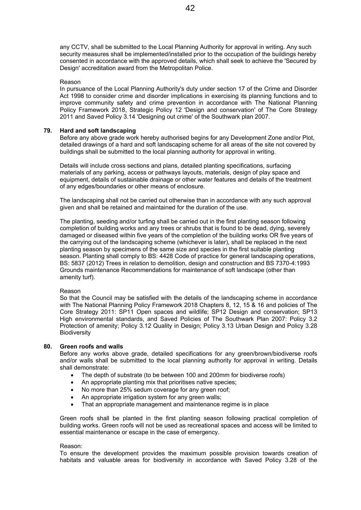any CCTV, shall be submitted to the Local Planning Authority for approval in writing. Any such security measures shall be implemented/installed prior to the occupation of the buildings hereby consented in accordance with the approved details, which shall seek to achieve the 'Secured by Design' accreditation award from the Metropolitan Police.

#### Reason

In pursuance of the Local Planning Authority's duty under section 17 of the Crime and Disorder Act 1998 to consider crime and disorder implications in exercising its planning functions and to improve community safety and crime prevention in accordance with The National Planning Policy Framework 2018, Strategic Policy 12 'Design and conservation' of The Core Strategy 2011 and Saved Policy 3.14 'Designing out crime' of the Southwark plan 2007.

#### **79. Hard and soft landscaping**

Before any above grade work hereby authorised begins for any Development Zone and/or Plot, detailed drawings of a hard and soft landscaping scheme for all areas of the site not covered by buildings shall be submitted to the local planning authority for approval in writing.

Details will include cross sections and plans, detailed planting specifications, surfacing materials of any parking, access or pathways layouts, materials, design of play space and equipment, details of sustainable drainage or other water features and details of the treatment of any edges/boundaries or other means of enclosure.

The landscaping shall not be carried out otherwise than in accordance with any such approval given and shall be retained and maintained for the duration of the use.

The planting, seeding and/or turfing shall be carried out in the first planting season following completion of building works and any trees or shrubs that is found to be dead, dying, severely damaged or diseased within five years of the completion of the building works OR five years of the carrying out of the landscaping scheme (whichever is later), shall be replaced in the next planting season by specimens of the same size and species in the first suitable planting season. Planting shall comply to BS: 4428 Code of practice for general landscaping operations, BS: 5837 (2012) Trees in relation to demolition, design and construction and BS 7370-4:1993 Grounds maintenance Recommendations for maintenance of soft landscape (other than amenity turf).

#### Reason

So that the Council may be satisfied with the details of the landscaping scheme in accordance with The National Planning Policy Framework 2018 Chapters 8, 12, 15 & 16 and policies of The Core Strategy 2011: SP11 Open spaces and wildlife; SP12 Design and conservation; SP13 High environmental standards, and Saved Policies of The Southwark Plan 2007: Policy 3.2 Protection of amenity; Policy 3.12 Quality in Design; Policy 3.13 Urban Design and Policy 3.28 Biodiversity

#### **80. Green roofs and walls**

Before any works above grade, detailed specifications for any green/brown/biodiverse roofs and/or walls shall be submitted to the local planning authority for approval in writing. Details shall demonstrate:

- The depth of substrate (to be between 100 and 200mm for biodiverse roofs)
- An appropriate planting mix that prioritises native species;
- No more than 25% sedum coverage for any green roof;
- An appropriate irrigation system for any green walls;
- That an appropriate management and maintenance regime is in place

Green roofs shall be planted in the first planting season following practical completion of building works. Green roofs will not be used as recreational spaces and access will be limited to essential maintenance or escape in the case of emergency.

#### Reason:

To ensure the development provides the maximum possible provision towards creation of habitats and valuable areas for biodiversity in accordance with Saved Policy 3.28 of the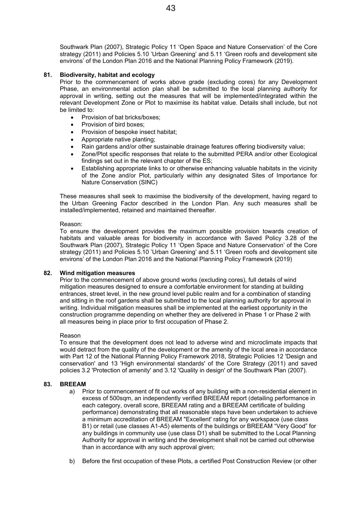Southwark Plan (2007), Strategic Policy 11 'Open Space and Nature Conservation' of the Core strategy (2011) and Policies 5.10 'Urban Greening' and 5.11 'Green roofs and development site environs' of the London Plan 2016 and the National Planning Policy Framework (2019).

#### **81. Biodiversity, habitat and ecology**

Prior to the commencement of works above grade (excluding cores) for any Development Phase, an environmental action plan shall be submitted to the local planning authority for approval in writing, setting out the measures that will be implemented/integrated within the relevant Development Zone or Plot to maximise its habitat value. Details shall include, but not be limited to:

- Provision of bat bricks/boxes;
- Provision of bird boxes;
- Provision of bespoke insect habitat;
- Appropriate native planting;
- Rain gardens and/or other sustainable drainage features offering biodiversity value;
- Zone/Plot specific responses that relate to the submitted PERA and/or other Ecological findings set out in the relevant chapter of the ES;
- Establishing appropriate links to or otherwise enhancing valuable habitats in the vicinity of the Zone and/or Plot, particularly within any designated Sites of Importance for Nature Conservation (SINC)

These measures shall seek to maximise the biodiversity of the development, having regard to the Urban Greening Factor described in the London Plan. Any such measures shall be installed/implemented, retained and maintained thereafter.

#### Reason:

To ensure the development provides the maximum possible provision towards creation of habitats and valuable areas for biodiversity in accordance with Saved Policy 3.28 of the Southwark Plan (2007), Strategic Policy 11 'Open Space and Nature Conservation' of the Core strategy (2011) and Policies 5.10 'Urban Greening' and 5.11 'Green roofs and development site environs' of the London Plan 2016 and the National Planning Policy Framework (2019)

#### **82. Wind mitigation measures**

Prior to the commencement of above ground works (excluding cores), full details of wind mitigation measures designed to ensure a comfortable environment for standing at building entrances, street level, in the new ground level public realm and for a combination of standing and sitting in the roof gardens shall be submitted to the local planning authority for approval in writing. Individual mitigation measures shall be implemented at the earliest opportunity in the construction programme depending on whether they are delivered in Phase 1 or Phase 2 with all measures being in place prior to first occupation of Phase 2.

#### Reason

To ensure that the development does not lead to adverse wind and microclimate impacts that would detract from the quality of the development or the amenity of the local area in accordance with Part 12 of the National Planning Policy Framework 2018, Strategic Policies 12 'Design and conservation' and 13 'High environmental standards' of the Core Strategy (2011) and saved policies 3.2 'Protection of amenity' and 3.12 'Quality in design' of the Southwark Plan (2007).

#### **83. BREEAM**

- a) Prior to commencement of fit out works of any building with a non-residential element in excess of 500sqm, an independently verified BREEAM report (detailing performance in each category, overall score, BREEAM rating and a BREEAM certificate of building performance) demonstrating that all reasonable steps have been undertaken to achieve a minimum accreditation of BREEAM "Excellent' rating for any workspace (use class B1) or retail (use classes A1-A5) elements of the buildings or BREEAM "Very Good" for any buildings in community use (use class D1) shall be submitted to the Local Planning Authority for approval in writing and the development shall not be carried out otherwise than in accordance with any such approval given;
- b) Before the first occupation of these Plots, a certified Post Construction Review (or other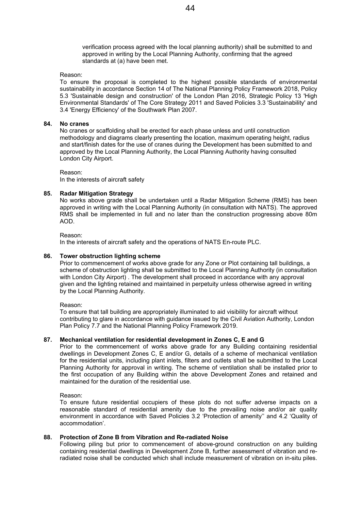verification process agreed with the local planning authority) shall be submitted to and approved in writing by the Local Planning Authority, confirming that the agreed standards at (a) have been met.

#### Reason:

To ensure the proposal is completed to the highest possible standards of environmental sustainability in accordance Section 14 of The National Planning Policy Framework 2018, Policy 5.3 'Sustainable design and construction' of the London Plan 2016, Strategic Policy 13 'High Environmental Standards' of The Core Strategy 2011 and Saved Policies 3.3 'Sustainability' and 3.4 'Energy Efficiency' of the Southwark Plan 2007.

#### **84. No cranes**

No cranes or scaffolding shall be erected for each phase unless and until construction methodology and diagrams clearly presenting the location, maximum operating height, radius and start/finish dates for the use of cranes during the Development has been submitted to and approved by the Local Planning Authority, the Local Planning Authority having consulted London City Airport.

Reason:

In the interests of aircraft safety

#### **85. Radar Mitigation Strategy**

No works above grade shall be undertaken until a Radar Mitigation Scheme (RMS) has been approved in writing with the Local Planning Authority (in consultation with NATS). The approved RMS shall be implemented in full and no later than the construction progressing above 80m AOD.

Reason:

In the interests of aircraft safety and the operations of NATS En-route PLC.

#### **86. Tower obstruction lighting scheme**

Prior to commencement of works above grade for any Zone or Plot containing tall buildings, a scheme of obstruction lighting shall be submitted to the Local Planning Authority (in consultation with London City Airport) . The development shall proceed in accordance with any approval given and the lighting retained and maintained in perpetuity unless otherwise agreed in writing by the Local Planning Authority.

Reason:

To ensure that tall building are appropriately illuminated to aid visibility for aircraft without contributing to glare in accordance with guidance issued by the Civil Aviation Authority, London Plan Policy 7.7 and the National Planning Policy Framework 2019.

#### **87. Mechanical ventilation for residential development in Zones C, E and G**

Prior to the commencement of works above grade for any Building containing residential dwellings in Development Zones C, E and/or G, details of a scheme of mechanical ventilation for the residential units, including plant inlets, filters and outlets shall be submitted to the Local Planning Authority for approval in writing. The scheme of ventilation shall be installed prior to the first occupation of any Building within the above Development Zones and retained and maintained for the duration of the residential use.

Reason:

To ensure future residential occupiers of these plots do not suffer adverse impacts on a reasonable standard of residential amenity due to the prevailing noise and/or air quality environment in accordance with Saved Policies 3.2 'Protection of amenity'' and 4.2 'Quality of accommodation'.

#### **88. Protection of Zone B from Vibration and Re-radiated Noise**

Following piling but prior to commencement of above-ground construction on any building containing residential dwellings in Development Zone B, further assessment of vibration and reradiated noise shall be conducted which shall include measurement of vibration on in-situ piles.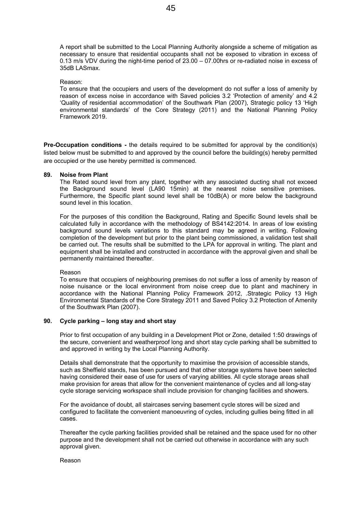A report shall be submitted to the Local Planning Authority alongside a scheme of mitigation as necessary to ensure that residential occupants shall not be exposed to vibration in excess of 0.13 m/s VDV during the night-time period of 23.00 – 07.00hrs or re-radiated noise in excess of 35dB LASmax.

#### Reason:

To ensure that the occupiers and users of the development do not suffer a loss of amenity by reason of excess noise in accordance with Saved policies 3.2 'Protection of amenity' and 4.2 'Quality of residential accommodation' of the Southwark Plan (2007), Strategic policy 13 'High environmental standards' of the Core Strategy (2011) and the National Planning Policy Framework 2019.

**Pre-Occupation conditions -** the details required to be submitted for approval by the condition(s) listed below must be submitted to and approved by the council before the building(s) hereby permitted are occupied or the use hereby permitted is commenced.

#### **89. Noise from Plant**

The Rated sound level from any plant, together with any associated ducting shall not exceed the Background sound level (LA90 15min) at the nearest noise sensitive premises. Furthermore, the Specific plant sound level shall be 10dB(A) or more below the background sound level in this location.

For the purposes of this condition the Background, Rating and Specific Sound levels shall be calculated fully in accordance with the methodology of BS4142:2014. In areas of low existing background sound levels variations to this standard may be agreed in writing. Following completion of the development but prior to the plant being commissioned, a validation test shall be carried out. The results shall be submitted to the LPA for approval in writing. The plant and equipment shall be installed and constructed in accordance with the approval given and shall be permanently maintained thereafter.

#### Reason

To ensure that occupiers of neighbouring premises do not suffer a loss of amenity by reason of noise nuisance or the local environment from noise creep due to plant and machinery in accordance with the National Planning Policy Framework 2012, .Strategic Policy 13 High Environmental Standards of the Core Strategy 2011 and Saved Policy 3.2 Protection of Amenity of the Southwark Plan (2007).

#### **90. Cycle parking – long stay and short stay**

Prior to first occupation of any building in a Development Plot or Zone, detailed 1:50 drawings of the secure, convenient and weatherproof long and short stay cycle parking shall be submitted to and approved in writing by the Local Planning Authority.

Details shall demonstrate that the opportunity to maximise the provision of accessible stands, such as Sheffield stands, has been pursued and that other storage systems have been selected having considered their ease of use for users of varying abilities. All cycle storage areas shall make provision for areas that allow for the convenient maintenance of cycles and all long-stay cycle storage servicing workspace shall include provision for changing facilities and showers.

For the avoidance of doubt, all staircases serving basement cycle stores will be sized and configured to facilitate the convenient manoeuvring of cycles, including gullies being fitted in all cases.

Thereafter the cycle parking facilities provided shall be retained and the space used for no other purpose and the development shall not be carried out otherwise in accordance with any such approval given.

#### Reason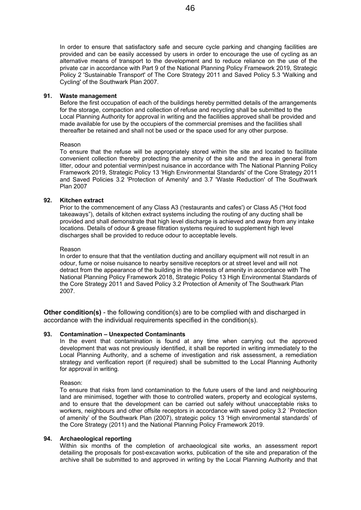In order to ensure that satisfactory safe and secure cycle parking and changing facilities are provided and can be easily accessed by users in order to encourage the use of cycling as an alternative means of transport to the development and to reduce reliance on the use of the private car in accordance with Part 9 of the National Planning Policy Framework 2019, Strategic Policy 2 'Sustainable Transport' of The Core Strategy 2011 and Saved Policy 5.3 'Walking and Cycling' of the Southwark Plan 2007.

#### **91. Waste management**

Before the first occupation of each of the buildings hereby permitted details of the arrangements for the storage, compaction and collection of refuse and recycling shall be submitted to the Local Planning Authority for approval in writing and the facilities approved shall be provided and made available for use by the occupiers of the commercial premises and the facilities shall thereafter be retained and shall not be used or the space used for any other purpose.

#### Reason

To ensure that the refuse will be appropriately stored within the site and located to facilitate convenient collection thereby protecting the amenity of the site and the area in general from litter, odour and potential vermin/pest nuisance in accordance with The National Planning Policy Framework 2019, Strategic Policy 13 'High Environmental Standards' of the Core Strategy 2011 and Saved Policies 3.2 'Protection of Amenity' and 3.7 'Waste Reduction' of The Southwark Plan 2007

#### **92. Kitchen extract**

Prior to the commencement of any Class A3 ('restaurants and cafes') or Class A5 ("Hot food takeaways"), details of kitchen extract systems including the routing of any ducting shall be provided and shall demonstrate that high level discharge is achieved and away from any intake locations. Details of odour & grease filtration systems required to supplement high level discharges shall be provided to reduce odour to acceptable levels.

#### Reason

In order to ensure that that the ventilation ducting and ancillary equipment will not result in an odour, fume or noise nuisance to nearby sensitive receptors or at street level and will not detract from the appearance of the building in the interests of amenity in accordance with The National Planning Policy Framework 2018, Strategic Policy 13 High Environmental Standards of the Core Strategy 2011 and Saved Policy 3.2 Protection of Amenity of The Southwark Plan 2007.

**Other condition(s)** - the following condition(s) are to be complied with and discharged in accordance with the individual requirements specified in the condition(s).

#### **93. Contamination – Unexpected Contaminants**

In the event that contamination is found at any time when carrying out the approved development that was not previously identified, it shall be reported in writing immediately to the Local Planning Authority, and a scheme of investigation and risk assessment, a remediation strategy and verification report (if required) shall be submitted to the Local Planning Authority for approval in writing.

#### Reason:

To ensure that risks from land contamination to the future users of the land and neighbouring land are minimised, together with those to controlled waters, property and ecological systems, and to ensure that the development can be carried out safely without unacceptable risks to workers, neighbours and other offsite receptors in accordance with saved policy 3.2 `Protection of amenity' of the Southwark Plan (2007), strategic policy 13 'High environmental standards' of the Core Strategy (2011) and the National Planning Policy Framework 2019.

#### **94. Archaeological reporting**

Within six months of the completion of archaeological site works, an assessment report detailing the proposals for post-excavation works, publication of the site and preparation of the archive shall be submitted to and approved in writing by the Local Planning Authority and that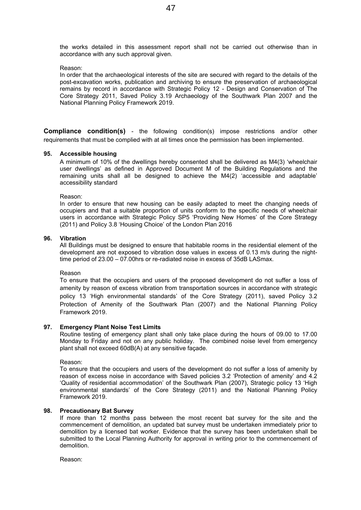the works detailed in this assessment report shall not be carried out otherwise than in accordance with any such approval given.

#### Reason:

In order that the archaeological interests of the site are secured with regard to the details of the post-excavation works, publication and archiving to ensure the preservation of archaeological remains by record in accordance with Strategic Policy 12 - Design and Conservation of The Core Strategy 2011, Saved Policy 3.19 Archaeology of the Southwark Plan 2007 and the National Planning Policy Framework 2019.

**Compliance condition(s)** - the following condition(s) impose restrictions and/or other requirements that must be complied with at all times once the permission has been implemented.

#### **95. Accessible housing**

A minimum of 10% of the dwellings hereby consented shall be delivered as M4(3) 'wheelchair user dwellings' as defined in Approved Document M of the Building Regulations and the remaining units shall all be designed to achieve the M4(2) 'accessible and adaptable' accessibility standard

Reason:

In order to ensure that new housing can be easily adapted to meet the changing needs of occupiers and that a suitable proportion of units conform to the specific needs of wheelchair users in accordance with Strategic Policy SP5 'Providing New Homes' of the Core Strategy (2011) and Policy 3.8 'Housing Choice' of the London Plan 2016

#### **96. Vibration**

All Buildings must be designed to ensure that habitable rooms in the residential element of the development are not exposed to vibration dose values in excess of 0.13 m/s during the nighttime period of 23.00 – 07.00hrs or re-radiated noise in excess of 35dB LASmax.

#### Reason

To ensure that the occupiers and users of the proposed development do not suffer a loss of amenity by reason of excess vibration from transportation sources in accordance with strategic policy 13 'High environmental standards' of the Core Strategy (2011), saved Policy 3.2 Protection of Amenity of the Southwark Plan (2007) and the National Planning Policy Framework 2019.

#### **97. Emergency Plant Noise Test Limits**

Routine testing of emergency plant shall only take place during the hours of 09.00 to 17.00 Monday to Friday and not on any public holiday. The combined noise level from emergency plant shall not exceed 60dB(A) at any sensitive façade.

Reason:

To ensure that the occupiers and users of the development do not suffer a loss of amenity by reason of excess noise in accordance with Saved policies 3.2 'Protection of amenity' and 4.2 'Quality of residential accommodation' of the Southwark Plan (2007), Strategic policy 13 'High environmental standards' of the Core Strategy (2011) and the National Planning Policy Framework 2019.

#### **98. Precautionary Bat Survey**

If more than 12 months pass between the most recent bat survey for the site and the commencement of demolition, an updated bat survey must be undertaken immediately prior to demolition by a licensed bat worker. Evidence that the survey has been undertaken shall be submitted to the Local Planning Authority for approval in writing prior to the commencement of demolition.

Reason: